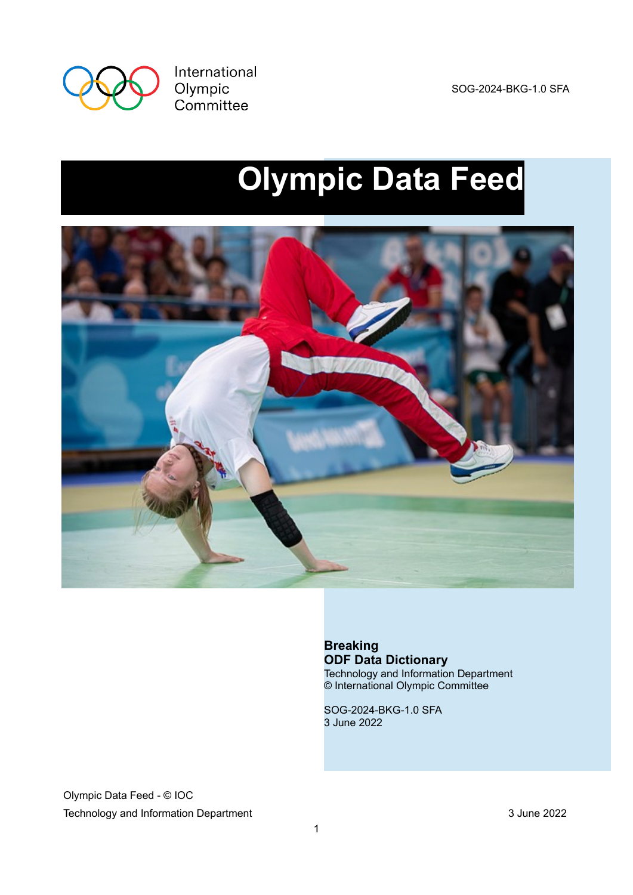

SOG-2024-BKG-1.0 SFA

# **Olympic Data Feed**



**Breaking ODF Data Dictionary** Technology and Information Department © International Olympic Committee

SOG-2024-BKG-1.0 SFA 3 June 2022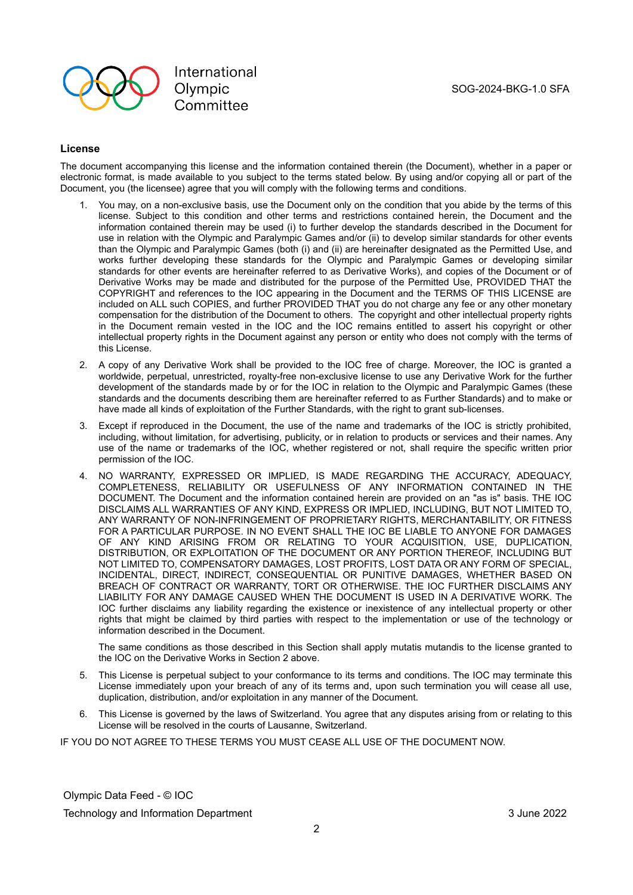

#### **License**

The document accompanying this license and the information contained therein (the Document), whether in a paper or electronic format, is made available to you subject to the terms stated below. By using and/or copying all or part of the Document, you (the licensee) agree that you will comply with the following terms and conditions.

- 1. You may, on a non-exclusive basis, use the Document only on the condition that you abide by the terms of this license. Subject to this condition and other terms and restrictions contained herein, the Document and the information contained therein may be used (i) to further develop the standards described in the Document for use in relation with the Olympic and Paralympic Games and/or (ii) to develop similar standards for other events than the Olympic and Paralympic Games (both (i) and (ii) are hereinafter designated as the Permitted Use, and works further developing these standards for the Olympic and Paralympic Games or developing similar standards for other events are hereinafter referred to as Derivative Works), and copies of the Document or of Derivative Works may be made and distributed for the purpose of the Permitted Use, PROVIDED THAT the COPYRIGHT and references to the IOC appearing in the Document and the TERMS OF THIS LICENSE are included on ALL such COPIES, and further PROVIDED THAT you do not charge any fee or any other monetary compensation for the distribution of the Document to others. The copyright and other intellectual property rights in the Document remain vested in the IOC and the IOC remains entitled to assert his copyright or other intellectual property rights in the Document against any person or entity who does not comply with the terms of this License.
- 2. A copy of any Derivative Work shall be provided to the IOC free of charge. Moreover, the IOC is granted a worldwide, perpetual, unrestricted, royalty-free non-exclusive license to use any Derivative Work for the further development of the standards made by or for the IOC in relation to the Olympic and Paralympic Games (these standards and the documents describing them are hereinafter referred to as Further Standards) and to make or have made all kinds of exploitation of the Further Standards, with the right to grant sub-licenses.
- 3. Except if reproduced in the Document, the use of the name and trademarks of the IOC is strictly prohibited, including, without limitation, for advertising, publicity, or in relation to products or services and their names. Any use of the name or trademarks of the IOC, whether registered or not, shall require the specific written prior permission of the IOC.
- 4. NO WARRANTY, EXPRESSED OR IMPLIED, IS MADE REGARDING THE ACCURACY, ADEQUACY, COMPLETENESS, RELIABILITY OR USEFULNESS OF ANY INFORMATION CONTAINED IN THE DOCUMENT. The Document and the information contained herein are provided on an "as is" basis. THE IOC DISCLAIMS ALL WARRANTIES OF ANY KIND, EXPRESS OR IMPLIED, INCLUDING, BUT NOT LIMITED TO, ANY WARRANTY OF NON-INFRINGEMENT OF PROPRIETARY RIGHTS, MERCHANTABILITY, OR FITNESS FOR A PARTICULAR PURPOSE. IN NO EVENT SHALL THE IOC BE LIABLE TO ANYONE FOR DAMAGES OF ANY KIND ARISING FROM OR RELATING TO YOUR ACQUISITION, USE, DUPLICATION, DISTRIBUTION, OR EXPLOITATION OF THE DOCUMENT OR ANY PORTION THEREOF, INCLUDING BUT NOT LIMITED TO, COMPENSATORY DAMAGES, LOST PROFITS, LOST DATA OR ANY FORM OF SPECIAL, INCIDENTAL, DIRECT, INDIRECT, CONSEQUENTIAL OR PUNITIVE DAMAGES, WHETHER BASED ON BREACH OF CONTRACT OR WARRANTY, TORT OR OTHERWISE. THE IOC FURTHER DISCLAIMS ANY LIABILITY FOR ANY DAMAGE CAUSED WHEN THE DOCUMENT IS USED IN A DERIVATIVE WORK. The IOC further disclaims any liability regarding the existence or inexistence of any intellectual property or other rights that might be claimed by third parties with respect to the implementation or use of the technology or information described in the Document.

The same conditions as those described in this Section shall apply mutatis mutandis to the license granted to the IOC on the Derivative Works in Section 2 above.

- 5. This License is perpetual subject to your conformance to its terms and conditions. The IOC may terminate this License immediately upon your breach of any of its terms and, upon such termination you will cease all use, duplication, distribution, and/or exploitation in any manner of the Document.
- 6. This License is governed by the laws of Switzerland. You agree that any disputes arising from or relating to this License will be resolved in the courts of Lausanne, Switzerland.

IF YOU DO NOT AGREE TO THESE TERMS YOU MUST CEASE ALL USE OF THE DOCUMENT NOW.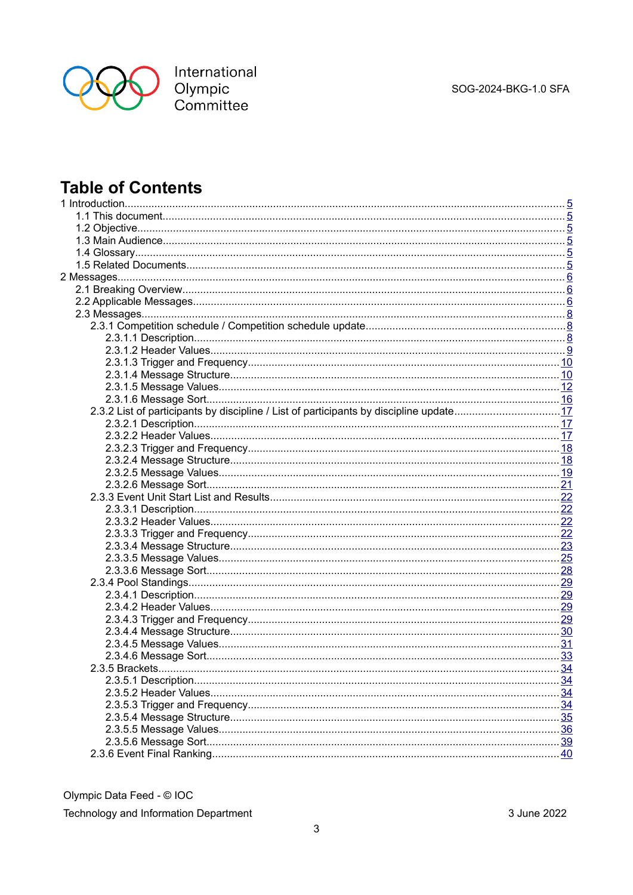

# **Table of Contents**

| 2.3.2 List of participants by discipline / List of participants by discipline update17 |  |
|----------------------------------------------------------------------------------------|--|
|                                                                                        |  |
|                                                                                        |  |
|                                                                                        |  |
|                                                                                        |  |
|                                                                                        |  |
|                                                                                        |  |
|                                                                                        |  |
|                                                                                        |  |
|                                                                                        |  |
|                                                                                        |  |
|                                                                                        |  |
|                                                                                        |  |
|                                                                                        |  |
|                                                                                        |  |
|                                                                                        |  |
|                                                                                        |  |
|                                                                                        |  |
|                                                                                        |  |
|                                                                                        |  |
|                                                                                        |  |
|                                                                                        |  |
|                                                                                        |  |
|                                                                                        |  |
|                                                                                        |  |
|                                                                                        |  |
|                                                                                        |  |
|                                                                                        |  |
|                                                                                        |  |
|                                                                                        |  |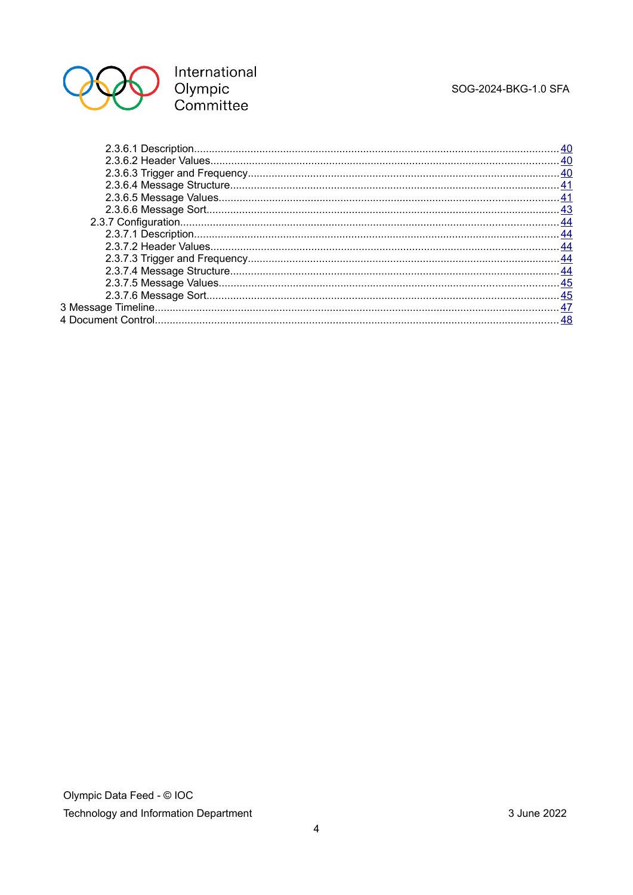

International<br>Olympic<br>Committee

#### SOG-2024-BKG-1.0 SFA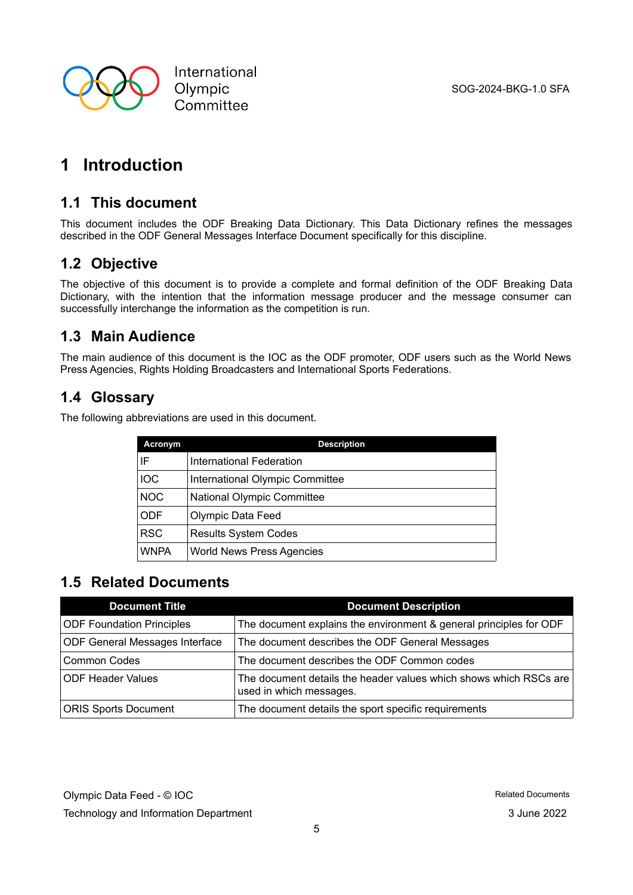SOG-2024-BKG-1.0 SFA



# <span id="page-4-5"></span>**1 Introduction**

## <span id="page-4-4"></span>**1.1 This document**

This document includes the ODF Breaking Data Dictionary. This Data Dictionary refines the messages described in the ODF General Messages Interface Document specifically for this discipline.

## <span id="page-4-3"></span>**1.2 Objective**

The objective of this document is to provide a complete and formal definition of the ODF Breaking Data Dictionary, with the intention that the information message producer and the message consumer can successfully interchange the information as the competition is run.

## <span id="page-4-2"></span>**1.3 Main Audience**

The main audience of this document is the IOC as the ODF promoter, ODF users such as the World News Press Agencies, Rights Holding Broadcasters and International Sports Federations.

## <span id="page-4-1"></span>**1.4 Glossary**

The following abbreviations are used in this document.

| Acronym     | <b>Description</b>                |  |  |  |
|-------------|-----------------------------------|--|--|--|
| IF          | International Federation          |  |  |  |
| <b>IOC</b>  | International Olympic Committee   |  |  |  |
| <b>NOC</b>  | <b>National Olympic Committee</b> |  |  |  |
| ODE         | <b>Olympic Data Feed</b>          |  |  |  |
| <b>RSC</b>  | <b>Results System Codes</b>       |  |  |  |
| <b>WNPA</b> | <b>World News Press Agencies</b>  |  |  |  |

## <span id="page-4-0"></span>**1.5 Related Documents**

| <b>Document Title</b>                 | <b>Document Description</b>                                                                  |
|---------------------------------------|----------------------------------------------------------------------------------------------|
| <b>ODF Foundation Principles</b>      | The document explains the environment & general principles for ODF                           |
| <b>ODF General Messages Interface</b> | The document describes the ODF General Messages                                              |
| <b>Common Codes</b>                   | The document describes the ODF Common codes                                                  |
| <b>ODF Header Values</b>              | The document details the header values which shows which RSCs are<br>used in which messages. |
| <b>ORIS Sports Document</b>           | The document details the sport specific requirements                                         |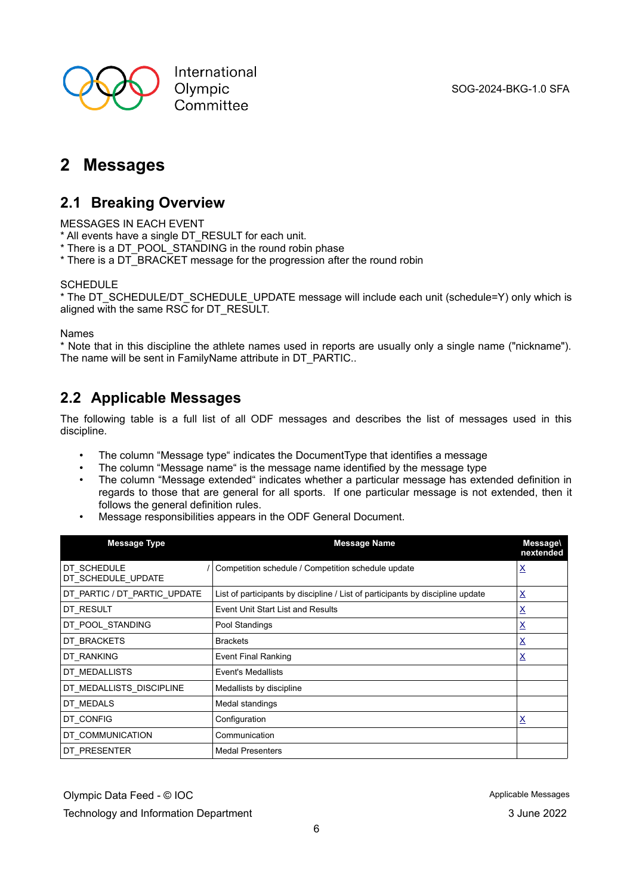



## <span id="page-5-2"></span>**2 Messages**

## <span id="page-5-1"></span>**2.1 Breaking Overview**

MESSAGES IN EACH EVENT

- \* All events have a single DT\_RESULT for each unit.
- \* There is a DT\_POOL\_STANDING in the round robin phase
- \* There is a DT\_BRACKET message for the progression after the round robin

#### **SCHEDULE**

\* The DT\_SCHEDULE/DT\_SCHEDULE\_UPDATE message will include each unit (schedule=Y) only which is aligned with the same RSC for DT\_RESULT.

#### Names

\* Note that in this discipline the athlete names used in reports are usually only a single name ("nickname"). The name will be sent in FamilyName attribute in DT\_PARTIC..

## <span id="page-5-0"></span>**2.2 Applicable Messages**

The following table is a full list of all ODF messages and describes the list of messages used in this discipline.

- The column "Message type" indicates the DocumentType that identifies a message
- The column "Message name" is the message name identified by the message type
- The column "Message extended" indicates whether a particular message has extended definition in regards to those that are general for all sports. If one particular message is not extended, then it follows the general definition rules.
- Message responsibilities appears in the ODF General Document.

| <b>Message Type</b>               | <b>Message Name</b>                                                            | Message\<br>nextended    |
|-----------------------------------|--------------------------------------------------------------------------------|--------------------------|
| DT SCHEDULE<br>DT SCHEDULE UPDATE | Competition schedule / Competition schedule update                             | $\underline{X}$          |
| DT PARTIC / DT PARTIC UPDATE      | List of participants by discipline / List of participants by discipline update | $\overline{\mathsf{x}}$  |
| DT RESULT                         | <b>Event Unit Start List and Results</b>                                       | $\underline{\mathsf{X}}$ |
| DT POOL STANDING                  | Pool Standings                                                                 | $\underline{X}$          |
| DT BRACKETS                       | <b>Brackets</b>                                                                | $\underline{x}$          |
| DT RANKING                        | <b>Event Final Ranking</b>                                                     | $\underline{X}$          |
| DT MEDALLISTS                     | Event's Medallists                                                             |                          |
| DT MEDALLISTS DISCIPLINE          | Medallists by discipline                                                       |                          |
| DT MEDALS                         | Medal standings                                                                |                          |
| DT CONFIG                         | Configuration                                                                  | $\overline{\mathsf{X}}$  |
| DT COMMUNICATION                  | Communication                                                                  |                          |
| DT PRESENTER                      | <b>Medal Presenters</b>                                                        |                          |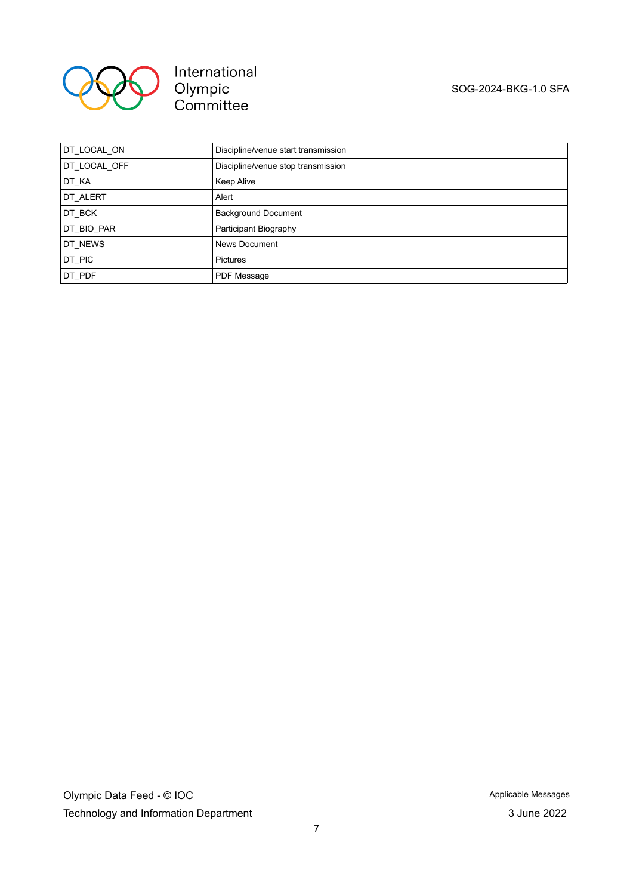

| DT LOCAL ON  | Discipline/venue start transmission |  |
|--------------|-------------------------------------|--|
| DT_LOCAL_OFF | Discipline/venue stop transmission  |  |
| DT_KA        | Keep Alive                          |  |
| DT ALERT     | Alert                               |  |
| DT BCK       | <b>Background Document</b>          |  |
| DT BIO PAR   | Participant Biography               |  |
| DT NEWS      | News Document                       |  |
| DT_PIC       | <b>Pictures</b>                     |  |
| DT PDF       | PDF Message                         |  |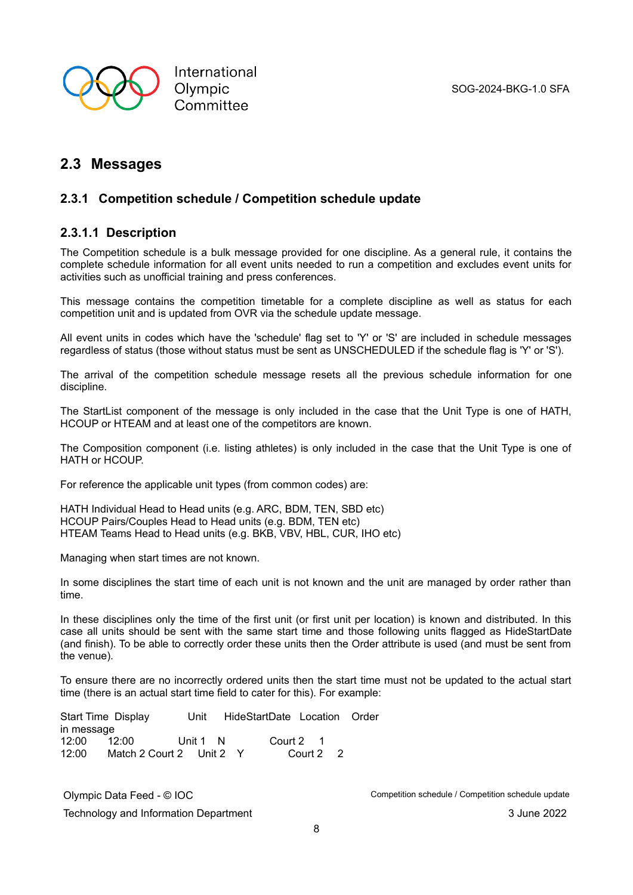



## <span id="page-7-2"></span>**2.3 Messages**

#### <span id="page-7-1"></span>**2.3.1 Competition schedule / Competition schedule update**

#### <span id="page-7-0"></span>**2.3.1.1 Description**

The Competition schedule is a bulk message provided for one discipline. As a general rule, it contains the complete schedule information for all event units needed to run a competition and excludes event units for activities such as unofficial training and press conferences.

This message contains the competition timetable for a complete discipline as well as status for each competition unit and is updated from OVR via the schedule update message.

All event units in codes which have the 'schedule' flag set to 'Y' or 'S' are included in schedule messages regardless of status (those without status must be sent as UNSCHEDULED if the schedule flag is 'Y' or 'S').

The arrival of the competition schedule message resets all the previous schedule information for one discipline.

The StartList component of the message is only included in the case that the Unit Type is one of HATH, HCOUP or HTEAM and at least one of the competitors are known.

The Composition component (i.e. listing athletes) is only included in the case that the Unit Type is one of HATH or HCOUP.

For reference the applicable unit types (from common codes) are:

HATH Individual Head to Head units (e.g. ARC, BDM, TEN, SBD etc) HCOUP Pairs/Couples Head to Head units (e.g. BDM, TEN etc) HTEAM Teams Head to Head units (e.g. BKB, VBV, HBL, CUR, IHO etc)

Managing when start times are not known.

In some disciplines the start time of each unit is not known and the unit are managed by order rather than time.

In these disciplines only the time of the first unit (or first unit per location) is known and distributed. In this case all units should be sent with the same start time and those following units flagged as HideStartDate (and finish). To be able to correctly order these units then the Order attribute is used (and must be sent from the venue).

To ensure there are no incorrectly ordered units then the start time must not be updated to the actual start time (there is an actual start time field to cater for this). For example:

|            | Start Time Display     |          | Unit | HideStartDate Location Order |           |           |  |
|------------|------------------------|----------|------|------------------------------|-----------|-----------|--|
| in message |                        |          |      |                              |           |           |  |
| 12:00      | 12:00                  | Unit 1 N |      |                              | Court 2 1 |           |  |
| 12:00      | Match 2 Court 2 Unit 2 |          |      |                              |           | Court 2 2 |  |

Olympic Data Feed - © IOC COMPETITION Competition schedule / Competition schedule update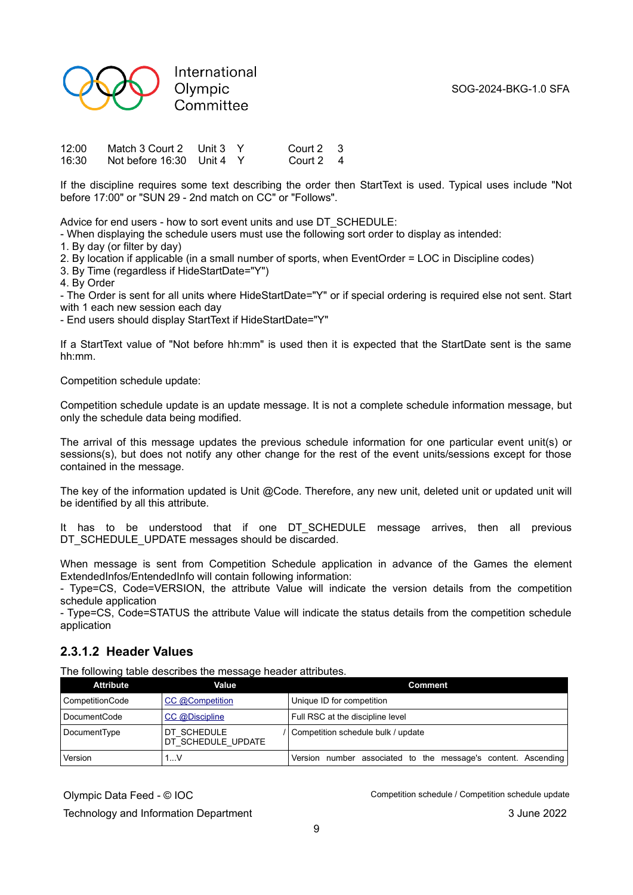

| 12:00 | Match 3 Court 2 Unit 3  |  | Court 2 3         |  |
|-------|-------------------------|--|-------------------|--|
| 16:30 | Not before 16:30 Unit 4 |  | Court $2 \quad 4$ |  |

If the discipline requires some text describing the order then StartText is used. Typical uses include "Not before 17:00" or "SUN 29 - 2nd match on CC" or "Follows".

Advice for end users - how to sort event units and use DT\_SCHEDULE:

- When displaying the schedule users must use the following sort order to display as intended:

1. By day (or filter by day)

2. By location if applicable (in a small number of sports, when EventOrder = LOC in Discipline codes)

3. By Time (regardless if HideStartDate="Y")

4. By Order

- The Order is sent for all units where HideStartDate="Y" or if special ordering is required else not sent. Start with 1 each new session each day

- End users should display StartText if HideStartDate="Y"

If a StartText value of "Not before hh:mm" is used then it is expected that the StartDate sent is the same hh:mm.

Competition schedule update:

Competition schedule update is an update message. It is not a complete schedule information message, but only the schedule data being modified.

The arrival of this message updates the previous schedule information for one particular event unit(s) or sessions(s), but does not notify any other change for the rest of the event units/sessions except for those contained in the message.

The key of the information updated is Unit @Code. Therefore, any new unit, deleted unit or updated unit will be identified by all this attribute.

It has to be understood that if one DT\_SCHEDULE message arrives, then all previous DT\_SCHEDULE\_UPDATE messages should be discarded.

When message is sent from Competition Schedule application in advance of the Games the element ExtendedInfos/EntendedInfo will contain following information:

- Type=CS, Code=VERSION, the attribute Value will indicate the version details from the competition schedule application

- Type=CS, Code=STATUS the attribute Value will indicate the status details from the competition schedule application

#### <span id="page-8-0"></span>**2.3.1.2 Header Values**

The following table describes the message header attributes.

| <b>Attribute</b>       | Value                             | Comment                                                       |
|------------------------|-----------------------------------|---------------------------------------------------------------|
| <b>CompetitionCode</b> | CC @Competition                   | Unique ID for competition                                     |
| DocumentCode           | CC @Discipline                    | Full RSC at the discipline level                              |
| DocumentType           | DT SCHEDULE<br>DT SCHEDULE UPDATE | Competition schedule bulk / update                            |
| Version                | 1V                                | Version number associated to the message's content. Ascending |

Technology and Information Department 3 June 2022

Olympic Data Feed - © IOC COMPETED SCOMPETION SCHEDULE Competition schedule / Competition schedule update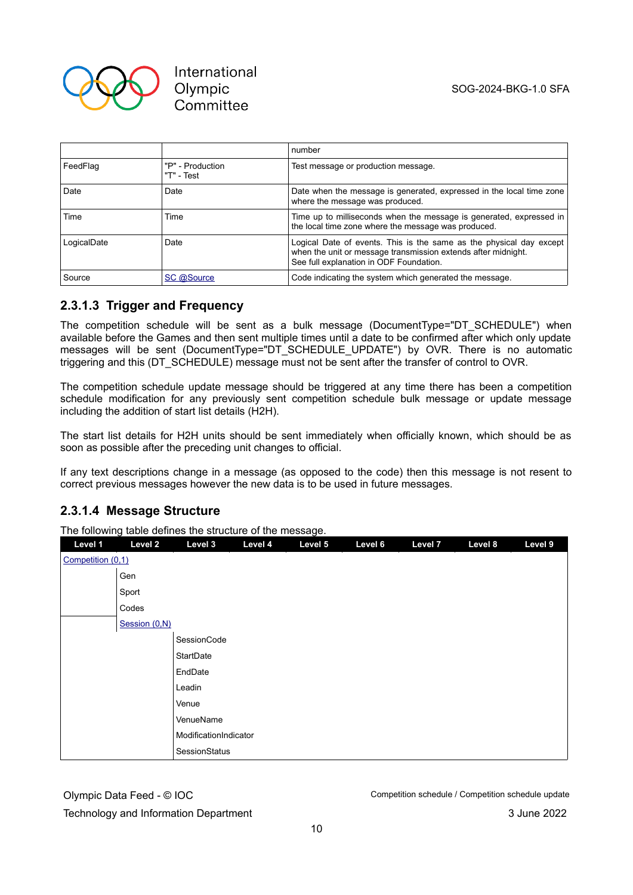

|             |                                | number                                                                                                                                                                          |
|-------------|--------------------------------|---------------------------------------------------------------------------------------------------------------------------------------------------------------------------------|
| FeedFlag    | "P" - Production<br>"T" - Test | Test message or production message.                                                                                                                                             |
| Date        | Date                           | Date when the message is generated, expressed in the local time zone  <br>where the message was produced.                                                                       |
| Time        | Time                           | Time up to milliseconds when the message is generated, expressed in<br>the local time zone where the message was produced.                                                      |
| LogicalDate | Date                           | Logical Date of events. This is the same as the physical day except<br>when the unit or message transmission extends after midnight.<br>See full explanation in ODF Foundation. |
| Source      | SC @Source                     | Code indicating the system which generated the message.                                                                                                                         |

#### <span id="page-9-1"></span>**2.3.1.3 Trigger and Frequency**

The competition schedule will be sent as a bulk message (DocumentType="DT\_SCHEDULE") when available before the Games and then sent multiple times until a date to be confirmed after which only update messages will be sent (DocumentType="DT\_SCHEDULE\_UPDATE") by OVR. There is no automatic triggering and this (DT\_SCHEDULE) message must not be sent after the transfer of control to OVR.

The competition schedule update message should be triggered at any time there has been a competition schedule modification for any previously sent competition schedule bulk message or update message including the addition of start list details (H2H).

The start list details for H2H units should be sent immediately when officially known, which should be as soon as possible after the preceding unit changes to official.

If any text descriptions change in a message (as opposed to the code) then this message is not resent to correct previous messages however the new data is to be used in future messages.

#### <span id="page-9-0"></span>**2.3.1.4 Message Structure**

The following table defines the structure of the message.

| Level 1           | ∼<br>Level 2  | Level 3               | Level 4 | <u>ັ</u><br>Level 5 | Level 6 | Level 7 | Level 8 | Level 9 |
|-------------------|---------------|-----------------------|---------|---------------------|---------|---------|---------|---------|
| Competition (0,1) |               |                       |         |                     |         |         |         |         |
|                   | Gen           |                       |         |                     |         |         |         |         |
|                   | Sport         |                       |         |                     |         |         |         |         |
|                   | Codes         |                       |         |                     |         |         |         |         |
|                   | Session (0,N) |                       |         |                     |         |         |         |         |
|                   |               | SessionCode           |         |                     |         |         |         |         |
|                   |               | StartDate             |         |                     |         |         |         |         |
|                   |               | EndDate               |         |                     |         |         |         |         |
|                   |               | Leadin                |         |                     |         |         |         |         |
|                   |               | Venue                 |         |                     |         |         |         |         |
|                   |               | VenueName             |         |                     |         |         |         |         |
|                   |               | ModificationIndicator |         |                     |         |         |         |         |
|                   |               | SessionStatus         |         |                     |         |         |         |         |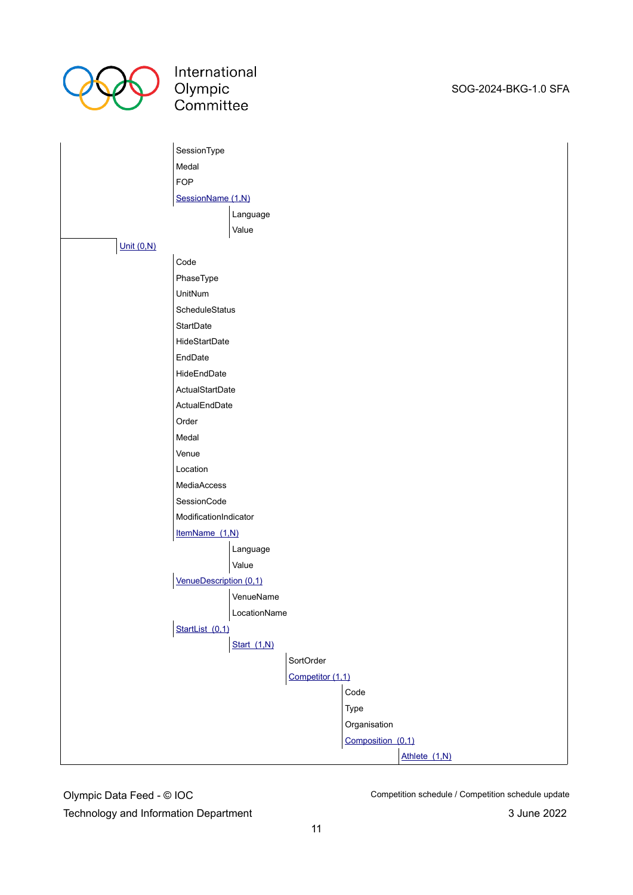



Olympic Data Feed - © IOC COM Competition schedule / Competition schedule update Technology and Information Department 3 June 2022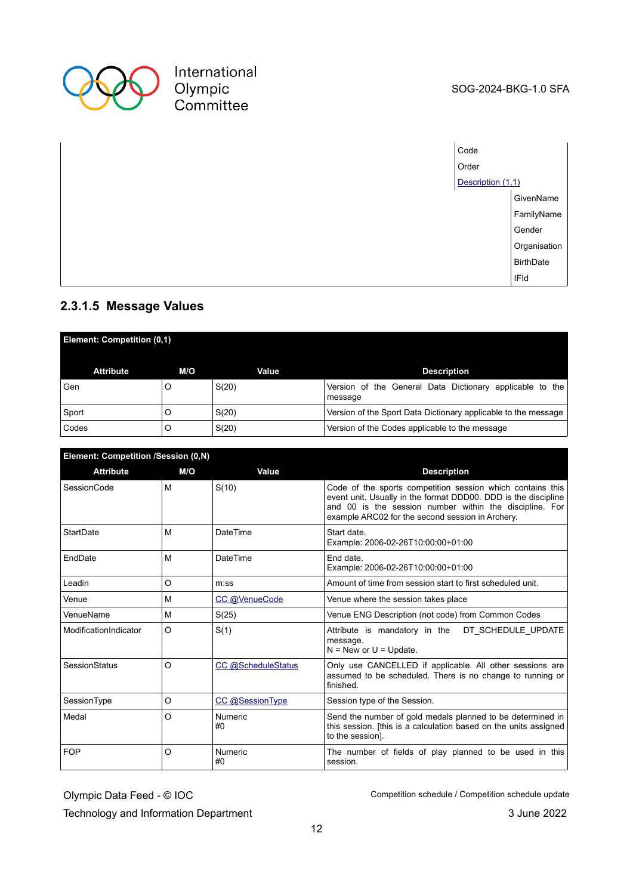

| Code              |                  |
|-------------------|------------------|
| Order             |                  |
| Description (1,1) |                  |
|                   | GivenName        |
|                   | FamilyName       |
|                   | Gender           |
|                   | Organisation     |
|                   | <b>BirthDate</b> |
|                   | IEId             |

## <span id="page-11-0"></span>**2.3.1.5 Message Values**

<span id="page-11-2"></span>

| <b>Element: Competition (0,1)</b> |     |       |                                                                     |  |  |
|-----------------------------------|-----|-------|---------------------------------------------------------------------|--|--|
| Attribute                         | M/O | Value | <b>Description</b>                                                  |  |  |
| Gen                               |     | S(20) | Version of the General Data Dictionary applicable to the<br>message |  |  |
| Sport                             |     | S(20) | Version of the Sport Data Dictionary applicable to the message      |  |  |
| Codes                             | O   | S(20) | Version of the Codes applicable to the message                      |  |  |

<span id="page-11-1"></span>

| Element: Competition /Session (0,N) |          |                       |                                                                                                                                                                                                                                             |  |  |
|-------------------------------------|----------|-----------------------|---------------------------------------------------------------------------------------------------------------------------------------------------------------------------------------------------------------------------------------------|--|--|
| <b>Attribute</b>                    | M/O      | Value                 | <b>Description</b>                                                                                                                                                                                                                          |  |  |
| SessionCode                         | м        | S(10)                 | Code of the sports competition session which contains this<br>event unit. Usually in the format DDD00. DDD is the discipline<br>and 00 is the session number within the discipline. For<br>example ARC02 for the second session in Archery. |  |  |
| StartDate                           | М        | <b>DateTime</b>       | Start date.<br>Example: 2006-02-26T10:00:00+01:00                                                                                                                                                                                           |  |  |
| EndDate                             | м        | <b>DateTime</b>       | End date.<br>Example: 2006-02-26T10:00:00+01:00                                                                                                                                                                                             |  |  |
| Leadin                              | O        | m:ss                  | Amount of time from session start to first scheduled unit.                                                                                                                                                                                  |  |  |
| Venue                               | м        | CC @VenueCode         | Venue where the session takes place                                                                                                                                                                                                         |  |  |
| VenueName                           | м        | S(25)                 | Venue ENG Description (not code) from Common Codes                                                                                                                                                                                          |  |  |
| ModificationIndicator               | $\Omega$ | S(1)                  | Attribute is mandatory in the<br>DT SCHEDULE UPDATE<br>message.<br>$N = New$ or $U = Update$ .                                                                                                                                              |  |  |
| SessionStatus                       | O        | CC @ScheduleStatus    | Only use CANCELLED if applicable. All other sessions are<br>assumed to be scheduled. There is no change to running or<br>finished.                                                                                                          |  |  |
| SessionType                         | O        | CC @SessionType       | Session type of the Session.                                                                                                                                                                                                                |  |  |
| Medal                               | O        | <b>Numeric</b><br>#() | Send the number of gold medals planned to be determined in<br>this session. [this is a calculation based on the units assigned<br>to the session].                                                                                          |  |  |
| <b>FOP</b>                          | O        | <b>Numeric</b><br>#() | The number of fields of play planned to be used in this<br>session.                                                                                                                                                                         |  |  |

Technology and Information Department 3 June 2022

Olympic Data Feed - © IOC COMPETITION Competition schedule / Competition schedule update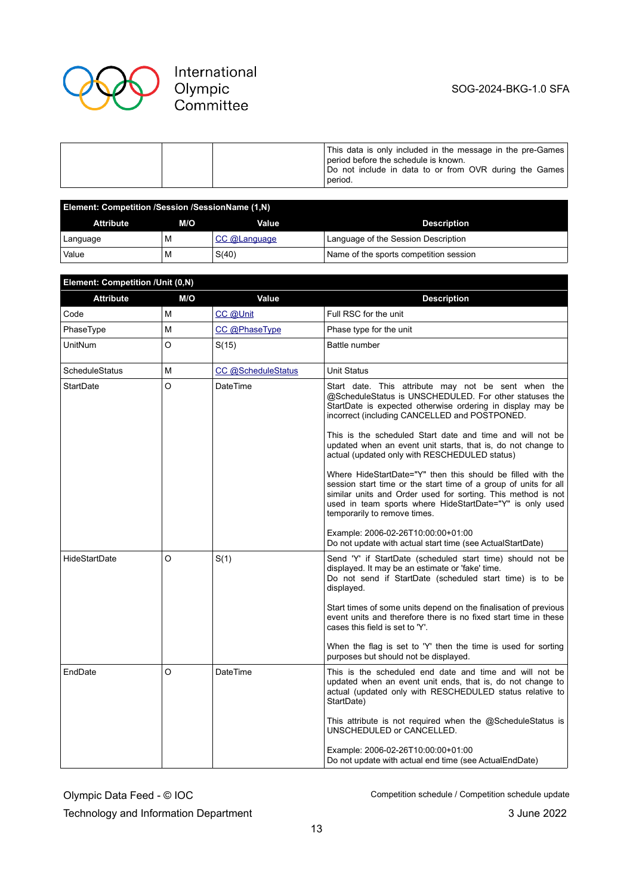

#### SOG-2024-BKG-1.0 SFA

|  | This data is only included in the message in the pre-Games<br>period before the schedule is known.<br>I Do not include in data to or from OVR during the Games<br>' period. |
|--|-----------------------------------------------------------------------------------------------------------------------------------------------------------------------------|
|--|-----------------------------------------------------------------------------------------------------------------------------------------------------------------------------|

<span id="page-12-1"></span>

| <b>Element: Competition /Session /SessionName (1,N)</b> |     |              |                                        |  |  |
|---------------------------------------------------------|-----|--------------|----------------------------------------|--|--|
| <b>Attribute</b>                                        | M/O | Value        | Description                            |  |  |
| Language                                                | M   | CC @Language | Language of the Session Description    |  |  |
| Value                                                   | M   | S(40)        | Name of the sports competition session |  |  |

<span id="page-12-0"></span>

| Element: Competition /Unit (0,N) |     |                    |                                                                                                                                                                                                                                                                                                                                                                                                                                                                                                                                                                                                                                                                                                           |
|----------------------------------|-----|--------------------|-----------------------------------------------------------------------------------------------------------------------------------------------------------------------------------------------------------------------------------------------------------------------------------------------------------------------------------------------------------------------------------------------------------------------------------------------------------------------------------------------------------------------------------------------------------------------------------------------------------------------------------------------------------------------------------------------------------|
| <b>Attribute</b>                 | M/O | Value              | <b>Description</b>                                                                                                                                                                                                                                                                                                                                                                                                                                                                                                                                                                                                                                                                                        |
| Code                             | М   | CC @Unit           | Full RSC for the unit                                                                                                                                                                                                                                                                                                                                                                                                                                                                                                                                                                                                                                                                                     |
| PhaseType                        | M   | CC @PhaseType      | Phase type for the unit                                                                                                                                                                                                                                                                                                                                                                                                                                                                                                                                                                                                                                                                                   |
| UnitNum                          | O   | S(15)              | Battle number                                                                                                                                                                                                                                                                                                                                                                                                                                                                                                                                                                                                                                                                                             |
| ScheduleStatus                   | M   | CC @ScheduleStatus | <b>Unit Status</b>                                                                                                                                                                                                                                                                                                                                                                                                                                                                                                                                                                                                                                                                                        |
| StartDate                        | O   | DateTime           | Start date. This attribute may not be sent when the<br>@ScheduleStatus is UNSCHEDULED. For other statuses the<br>StartDate is expected otherwise ordering in display may be<br>incorrect (including CANCELLED and POSTPONED.<br>This is the scheduled Start date and time and will not be<br>updated when an event unit starts, that is, do not change to<br>actual (updated only with RESCHEDULED status)<br>Where HideStartDate="Y" then this should be filled with the<br>session start time or the start time of a group of units for all<br>similar units and Order used for sorting. This method is not<br>used in team sports where HideStartDate="Y" is only used<br>temporarily to remove times. |
|                                  |     |                    | Example: 2006-02-26T10:00:00+01:00<br>Do not update with actual start time (see ActualStartDate)                                                                                                                                                                                                                                                                                                                                                                                                                                                                                                                                                                                                          |
| HideStartDate                    | O   | S(1)               | Send 'Y' if StartDate (scheduled start time) should not be<br>displayed. It may be an estimate or 'fake' time.<br>Do not send if StartDate (scheduled start time) is to be<br>displayed.<br>Start times of some units depend on the finalisation of previous<br>event units and therefore there is no fixed start time in these<br>cases this field is set to 'Y'.<br>When the flag is set to 'Y' then the time is used for sorting                                                                                                                                                                                                                                                                       |
|                                  |     |                    | purposes but should not be displayed.                                                                                                                                                                                                                                                                                                                                                                                                                                                                                                                                                                                                                                                                     |
| EndDate                          | O   | DateTime           | This is the scheduled end date and time and will not be<br>updated when an event unit ends, that is, do not change to<br>actual (updated only with RESCHEDULED status relative to<br>StartDate)<br>This attribute is not required when the @ScheduleStatus is<br>UNSCHEDULED or CANCELLED.                                                                                                                                                                                                                                                                                                                                                                                                                |
|                                  |     |                    | Example: 2006-02-26T10:00:00+01:00<br>Do not update with actual end time (see ActualEndDate)                                                                                                                                                                                                                                                                                                                                                                                                                                                                                                                                                                                                              |

Olympic Data Feed - © IOC COMPETITION Competition schedule / Competition schedule update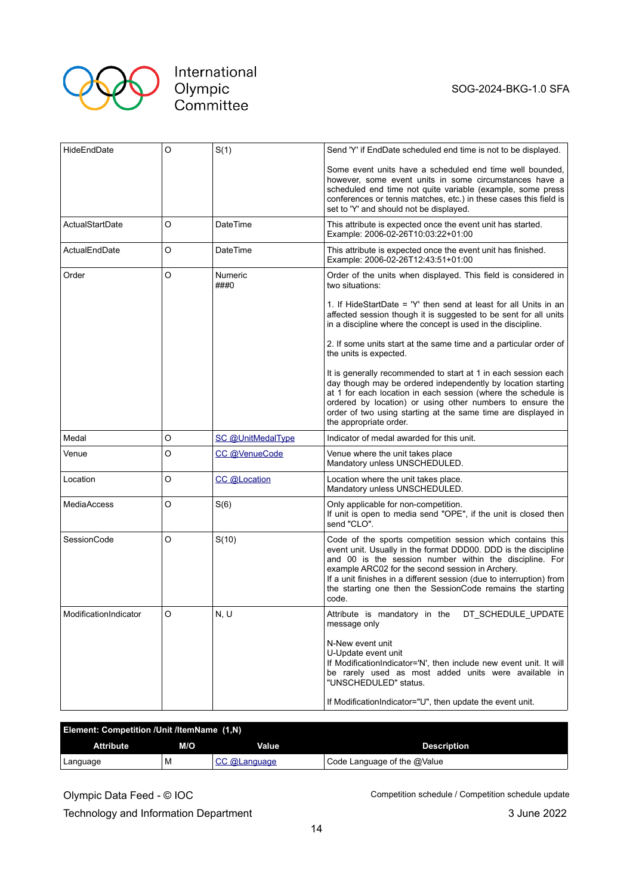

#### SOG-2024-BKG-1.0 SFA

| HideEndDate           | O | S(1)                   | Send 'Y' if EndDate scheduled end time is not to be displayed.                                                                                                                                                                                                                                                                                                                             |
|-----------------------|---|------------------------|--------------------------------------------------------------------------------------------------------------------------------------------------------------------------------------------------------------------------------------------------------------------------------------------------------------------------------------------------------------------------------------------|
|                       |   |                        | Some event units have a scheduled end time well bounded,<br>however, some event units in some circumstances have a<br>scheduled end time not quite variable (example, some press<br>conferences or tennis matches, etc.) in these cases this field is<br>set to 'Y' and should not be displayed.                                                                                           |
| ActualStartDate       | O | <b>DateTime</b>        | This attribute is expected once the event unit has started.<br>Example: 2006-02-26T10:03:22+01:00                                                                                                                                                                                                                                                                                          |
| <b>ActualEndDate</b>  | O | <b>DateTime</b>        | This attribute is expected once the event unit has finished.<br>Example: 2006-02-26T12:43:51+01:00                                                                                                                                                                                                                                                                                         |
| Order                 | O | <b>Numeric</b><br>###0 | Order of the units when displayed. This field is considered in<br>two situations:                                                                                                                                                                                                                                                                                                          |
|                       |   |                        | 1. If HideStartDate = 'Y' then send at least for all Units in an<br>affected session though it is suggested to be sent for all units<br>in a discipline where the concept is used in the discipline.                                                                                                                                                                                       |
|                       |   |                        | 2. If some units start at the same time and a particular order of<br>the units is expected.                                                                                                                                                                                                                                                                                                |
|                       |   |                        | It is generally recommended to start at 1 in each session each<br>day though may be ordered independently by location starting<br>at 1 for each location in each session (where the schedule is<br>ordered by location) or using other numbers to ensure the<br>order of two using starting at the same time are displayed in<br>the appropriate order.                                    |
| Medal                 | O | SC @UnitMedalType      | Indicator of medal awarded for this unit.                                                                                                                                                                                                                                                                                                                                                  |
| Venue                 | O | CC @VenueCode          | Venue where the unit takes place<br>Mandatory unless UNSCHEDULED.                                                                                                                                                                                                                                                                                                                          |
| Location              | O | CC @Location           | Location where the unit takes place.<br>Mandatory unless UNSCHEDULED.                                                                                                                                                                                                                                                                                                                      |
| MediaAccess           | O | S(6)                   | Only applicable for non-competition.<br>If unit is open to media send "OPE", if the unit is closed then<br>send "CLO".                                                                                                                                                                                                                                                                     |
| SessionCode           | O | S(10)                  | Code of the sports competition session which contains this<br>event unit. Usually in the format DDD00. DDD is the discipline<br>and 00 is the session number within the discipline. For<br>example ARC02 for the second session in Archery.<br>If a unit finishes in a different session (due to interruption) from<br>the starting one then the SessionCode remains the starting<br>code. |
| ModificationIndicator | O | N, U                   | DT_SCHEDULE_UPDATE<br>Attribute is mandatory in the<br>message only                                                                                                                                                                                                                                                                                                                        |
|                       |   |                        | N-New event unit<br>U-Update event unit<br>If ModificationIndicator='N', then include new event unit. It will<br>be rarely used as most added units were available in<br>"UNSCHEDULED" status.                                                                                                                                                                                             |
|                       |   |                        | If ModificationIndicator="U", then update the event unit.                                                                                                                                                                                                                                                                                                                                  |

<span id="page-13-0"></span>

| Element: Competition /Unit /ItemName (1,N) |     |              |                             |
|--------------------------------------------|-----|--------------|-----------------------------|
| <b>Attribute</b>                           | M/O | Value        | <b>Description</b>          |
| Language                                   | M   | CC @Language | Code Language of the @Value |

Olympic Data Feed - © IOC COMPETITION Competition schedule / Competition schedule update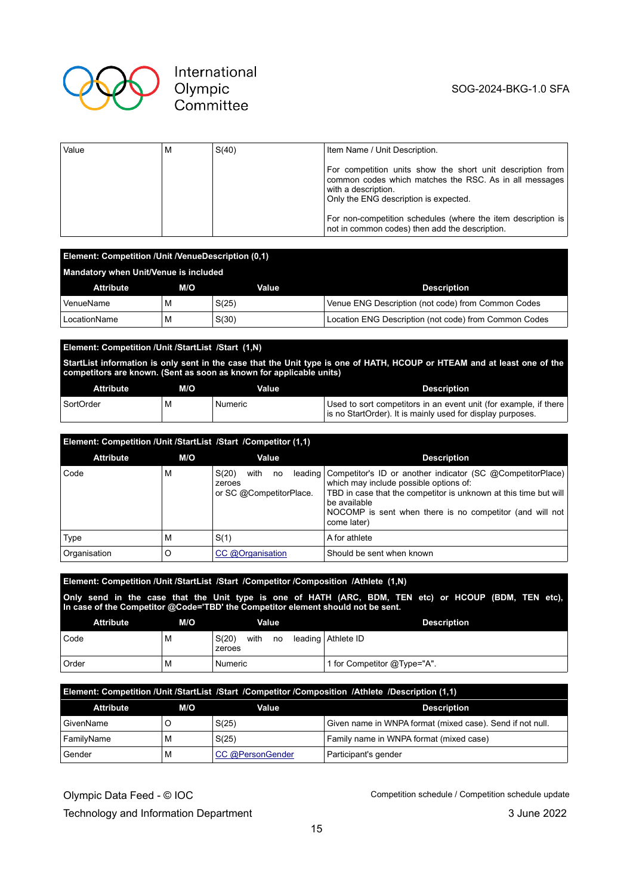

| Value | м | S(40) | Item Name / Unit Description.                                                                                                                                                                                                                        |  |  |  |
|-------|---|-------|------------------------------------------------------------------------------------------------------------------------------------------------------------------------------------------------------------------------------------------------------|--|--|--|
|       |   |       | For competition units show the short unit description from<br>common codes which matches the RSC. As in all messages<br>with a description.<br>Only the ENG description is expected.<br>For non-competition schedules (where the item description is |  |  |  |
|       |   |       | not in common codes) then add the description.                                                                                                                                                                                                       |  |  |  |

<span id="page-14-3"></span>

| <b>Element: Competition /Unit /VenueDescription (0.1)</b> |                                    |       |                                                       |  |  |
|-----------------------------------------------------------|------------------------------------|-------|-------------------------------------------------------|--|--|
| Mandatory when Unit/Venue is included                     |                                    |       |                                                       |  |  |
| <b>Attribute</b>                                          | M/O<br>Value<br><b>Description</b> |       |                                                       |  |  |
| VenueName                                                 | M                                  | S(25) | Venue ENG Description (not code) from Common Codes    |  |  |
| LocationName                                              | м                                  | S(30) | Location ENG Description (not code) from Common Codes |  |  |

#### <span id="page-14-2"></span>**Element: Competition /Unit /StartList /Start (1,N)**

**StartList information is only sent in the case that the Unit type is one of HATH, HCOUP or HTEAM and at least one of the competitors are known. (Sent as soon as known for applicable units)**

| Attribute | M/O | <b>Value</b> | <b>Description</b>                                                                                                             |
|-----------|-----|--------------|--------------------------------------------------------------------------------------------------------------------------------|
| SortOrder |     | Numeric      | Used to sort competitors in an event unit (for example, if there<br>is no StartOrder). It is mainly used for display purposes. |

<span id="page-14-1"></span>

| Element: Competition /Unit /StartList /Start /Competitor (1,1) |     |                                                          |                                                                                                                                                                                                                                                                                |  |  |  |
|----------------------------------------------------------------|-----|----------------------------------------------------------|--------------------------------------------------------------------------------------------------------------------------------------------------------------------------------------------------------------------------------------------------------------------------------|--|--|--|
| <b>Attribute</b>                                               | M/O | Value                                                    | <b>Description</b>                                                                                                                                                                                                                                                             |  |  |  |
| Code                                                           | м   | S(20)<br>with<br>no<br>zeroes<br>or SC @CompetitorPlace. | leading Competitor's ID or another indicator (SC $@$ CompetitorPlace)<br>which may include possible options of:<br>TBD in case that the competitor is unknown at this time but will<br>be available<br>NOCOMP is sent when there is no competitor (and will not<br>come later) |  |  |  |
| Type                                                           | м   | S(1)                                                     | A for athlete                                                                                                                                                                                                                                                                  |  |  |  |
| Organisation                                                   | O   | CC @Organisation                                         | Should be sent when known                                                                                                                                                                                                                                                      |  |  |  |

<span id="page-14-0"></span>

| Element: Competition /Unit /StartList /Start /Competitor /Composition /Athlete (1.N)                                                                                                     |  |  |  |  |  |  |  |  |
|------------------------------------------------------------------------------------------------------------------------------------------------------------------------------------------|--|--|--|--|--|--|--|--|
| Only send in the case that the Unit type is one of HATH (ARC, BDM, TEN etc) or HCOUP (BDM, TEN etc),<br>In case of the Competitor @Code='TBD' the Competitor element should not be sent. |  |  |  |  |  |  |  |  |

| <b>Attribute</b> | M/O | Value                         | <b>Description</b>          |
|------------------|-----|-------------------------------|-----------------------------|
| Code             | M   | S(20)<br>with<br>no<br>zeroes | leading   Athlete ID        |
| Order            | M   | Numeric                       | 1 for Competitor @Type="A". |

<span id="page-14-4"></span>

| Element: Competition /Unit /StartList /Start /Competitor /Composition /Athlete /Description (1,1) |     |                  |                                                           |  |  |  |
|---------------------------------------------------------------------------------------------------|-----|------------------|-----------------------------------------------------------|--|--|--|
| <b>Attribute</b>                                                                                  | M/O | Value            | <b>Description</b>                                        |  |  |  |
| GivenName                                                                                         |     | S(25)            | Given name in WNPA format (mixed case). Send if not null. |  |  |  |
| FamilyName                                                                                        | м   | S(25)            | Family name in WNPA format (mixed case)                   |  |  |  |
| Gender                                                                                            | м   | CC @PersonGender | Participant's gender                                      |  |  |  |

Technology and Information Department 3 June 2022

Olympic Data Feed - © IOC COMPUTE: Competition schedule / Competition schedule update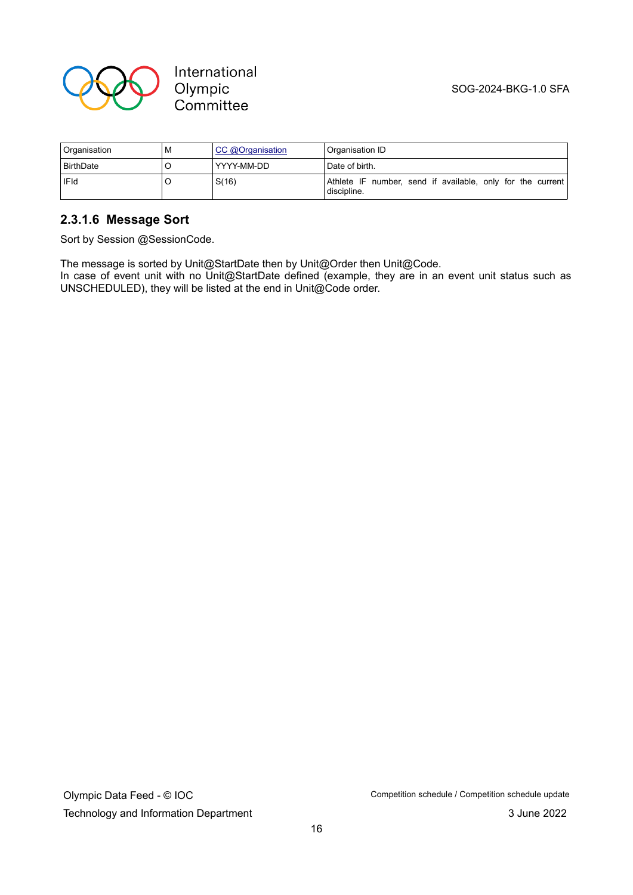

| Organisation     | М | CC @Organisation | Organisation ID                                                           |
|------------------|---|------------------|---------------------------------------------------------------------------|
| <b>BirthDate</b> |   | YYYY-MM-DD       | Date of birth.                                                            |
| IFId             |   | S(16)            | Athlete IF number, send if available, only for the current<br>discipline. |

## <span id="page-15-0"></span>**2.3.1.6 Message Sort**

Sort by Session @SessionCode.

The message is sorted by Unit@StartDate then by Unit@Order then Unit@Code.

In case of event unit with no Unit@StartDate defined (example, they are in an event unit status such as UNSCHEDULED), they will be listed at the end in Unit@Code order.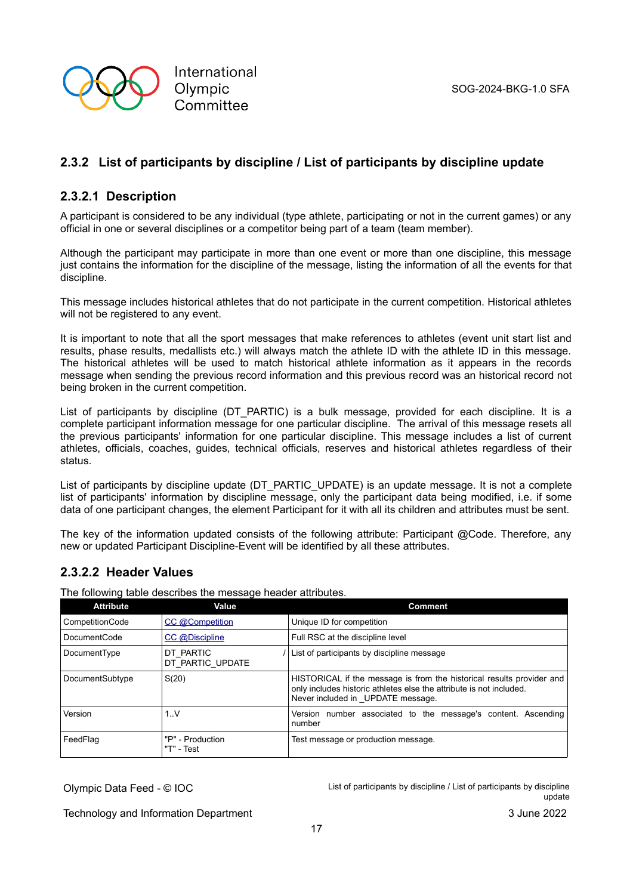



## <span id="page-16-2"></span>**2.3.2 List of participants by discipline / List of participants by discipline update**

#### <span id="page-16-1"></span>**2.3.2.1 Description**

A participant is considered to be any individual (type athlete, participating or not in the current games) or any official in one or several disciplines or a competitor being part of a team (team member).

Although the participant may participate in more than one event or more than one discipline, this message just contains the information for the discipline of the message, listing the information of all the events for that discipline.

This message includes historical athletes that do not participate in the current competition. Historical athletes will not be registered to any event.

It is important to note that all the sport messages that make references to athletes (event unit start list and results, phase results, medallists etc.) will always match the athlete ID with the athlete ID in this message. The historical athletes will be used to match historical athlete information as it appears in the records message when sending the previous record information and this previous record was an historical record not being broken in the current competition.

List of participants by discipline (DT\_PARTIC) is a bulk message, provided for each discipline. It is a complete participant information message for one particular discipline. The arrival of this message resets all the previous participants' information for one particular discipline. This message includes a list of current athletes, officials, coaches, guides, technical officials, reserves and historical athletes regardless of their status.

List of participants by discipline update (DT\_PARTIC\_UPDATE) is an update message. It is not a complete list of participants' information by discipline message, only the participant data being modified, i.e. if some data of one participant changes, the element Participant for it with all its children and attributes must be sent.

The key of the information updated consists of the following attribute: Participant @Code. Therefore, any new or updated Participant Discipline-Event will be identified by all these attributes.

#### <span id="page-16-0"></span>**2.3.2.2 Header Values**

The following table describes the message header attributes.

| <b>Attribute</b> | Value                          | <b>Comment</b>                                                                                                                                                                    |
|------------------|--------------------------------|-----------------------------------------------------------------------------------------------------------------------------------------------------------------------------------|
| CompetitionCode  | CC @Competition                | Unique ID for competition                                                                                                                                                         |
| DocumentCode     | CC @Discipline                 | Full RSC at the discipline level                                                                                                                                                  |
| DocumentType     | DT PARTIC<br>DT PARTIC UPDATE  | List of participants by discipline message                                                                                                                                        |
| DocumentSubtype  | S(20)                          | HISTORICAL if the message is from the historical results provider and<br>only includes historic athletes else the attribute is not included.<br>Never included in UPDATE message. |
| Version          | 1.5V                           | Version number associated to the message's content. Ascending<br>number                                                                                                           |
| FeedFlag         | "P" - Production<br>"T" - Test | Test message or production message.                                                                                                                                               |

Olympic Data Feed - © IOC List of participants by discipline / List of participants by discipline update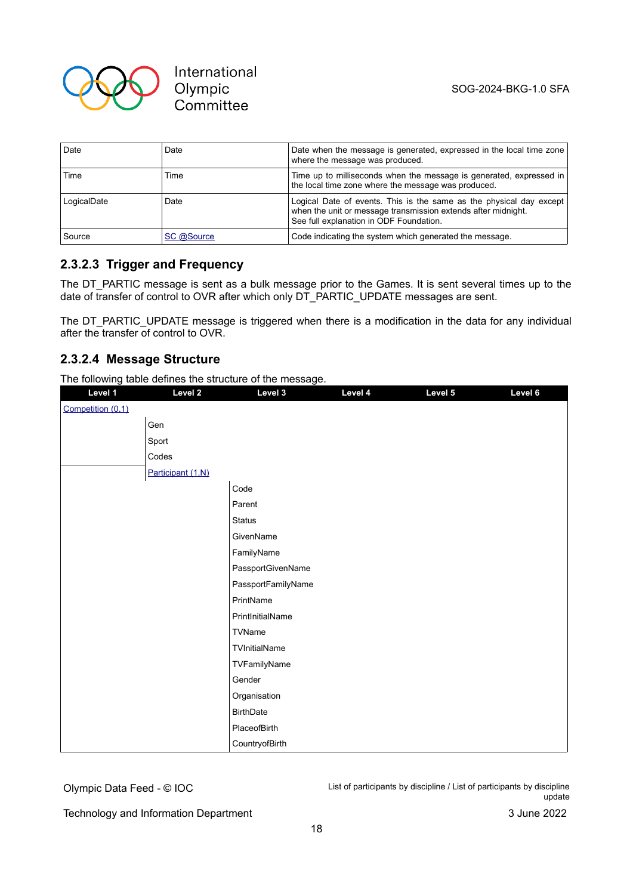

| Date        | Date       | Date when the message is generated, expressed in the local time zone<br>where the message was produced.                                                                         |
|-------------|------------|---------------------------------------------------------------------------------------------------------------------------------------------------------------------------------|
| Time        | Time       | Time up to milliseconds when the message is generated, expressed in<br>the local time zone where the message was produced.                                                      |
| LogicalDate | Date       | Logical Date of events. This is the same as the physical day except<br>when the unit or message transmission extends after midnight.<br>See full explanation in ODF Foundation. |
| Source      | SC @Source | Code indicating the system which generated the message.                                                                                                                         |

#### <span id="page-17-1"></span>**2.3.2.3 Trigger and Frequency**

The DT\_PARTIC message is sent as a bulk message prior to the Games. It is sent several times up to the date of transfer of control to OVR after which only DT\_PARTIC\_UPDATE messages are sent.

The DT\_PARTIC\_UPDATE message is triggered when there is a modification in the data for any individual after the transfer of control to OVR.

#### <span id="page-17-0"></span>**2.3.2.4 Message Structure**

The following table defines the structure of the message.

| Level 1           | Level 2           | Level 3            | Level 4 | Level 5 | Level 6 |
|-------------------|-------------------|--------------------|---------|---------|---------|
| Competition (0,1) |                   |                    |         |         |         |
|                   | Gen               |                    |         |         |         |
|                   | Sport             |                    |         |         |         |
|                   | Codes             |                    |         |         |         |
|                   | Participant (1,N) |                    |         |         |         |
|                   |                   | Code               |         |         |         |
|                   |                   | Parent             |         |         |         |
|                   |                   | <b>Status</b>      |         |         |         |
|                   |                   | GivenName          |         |         |         |
|                   |                   | FamilyName         |         |         |         |
|                   |                   | PassportGivenName  |         |         |         |
|                   |                   | PassportFamilyName |         |         |         |
|                   |                   | PrintName          |         |         |         |
|                   |                   | PrintlnitialName   |         |         |         |
|                   |                   | TVName             |         |         |         |
|                   |                   | TVInitialName      |         |         |         |
|                   |                   | TVFamilyName       |         |         |         |
|                   |                   | Gender             |         |         |         |
|                   |                   | Organisation       |         |         |         |
|                   |                   | <b>BirthDate</b>   |         |         |         |
|                   |                   | PlaceofBirth       |         |         |         |
|                   |                   | CountryofBirth     |         |         |         |

Olympic Data Feed - © IOC **List of participants by discipline** / List of participants by discipline update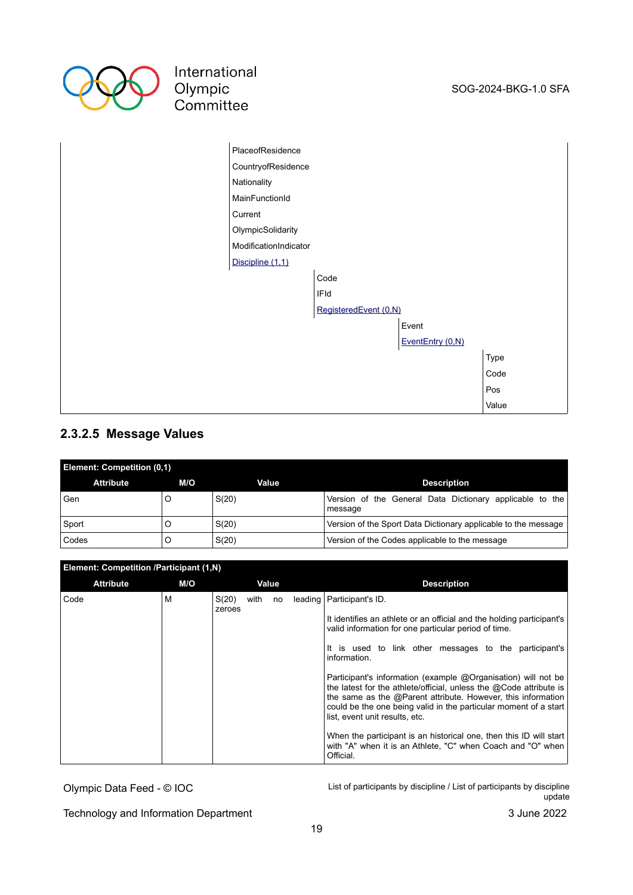

| PlaceofResidence      |                       |                  |       |
|-----------------------|-----------------------|------------------|-------|
| CountryofResidence    |                       |                  |       |
| Nationality           |                       |                  |       |
| MainFunctionId        |                       |                  |       |
| Current               |                       |                  |       |
| OlympicSolidarity     |                       |                  |       |
| ModificationIndicator |                       |                  |       |
| Discipline (1,1)      |                       |                  |       |
|                       | Code                  |                  |       |
|                       | <b>IFId</b>           |                  |       |
|                       | RegisteredEvent (0,N) |                  |       |
|                       |                       | Event            |       |
|                       |                       | EventEntry (0,N) |       |
|                       |                       |                  | Type  |
|                       |                       |                  | Code  |
|                       |                       |                  | Pos   |
|                       |                       |                  | Value |

## <span id="page-18-0"></span>**2.3.2.5 Message Values**

<span id="page-18-2"></span>

| <b>Element: Competition (0.1)</b> |     |       |                                                                     |  |  |  |  |
|-----------------------------------|-----|-------|---------------------------------------------------------------------|--|--|--|--|
| <b>Attribute</b>                  | M/O | Value | <b>Description</b>                                                  |  |  |  |  |
| Gen                               |     | S(20) | Version of the General Data Dictionary applicable to the<br>message |  |  |  |  |
| Sport                             |     | S(20) | Version of the Sport Data Dictionary applicable to the message      |  |  |  |  |
| Codes                             |     | S(20) | Version of the Codes applicable to the message                      |  |  |  |  |

<span id="page-18-1"></span>

| <b>Element: Competition /Participant (1,N)</b> |     |                 |       |    |  |                                                                                                                                                                                                                                                                                                                                                                                                                                                                                                                                                                                                                                                                                                          |  |  |
|------------------------------------------------|-----|-----------------|-------|----|--|----------------------------------------------------------------------------------------------------------------------------------------------------------------------------------------------------------------------------------------------------------------------------------------------------------------------------------------------------------------------------------------------------------------------------------------------------------------------------------------------------------------------------------------------------------------------------------------------------------------------------------------------------------------------------------------------------------|--|--|
| <b>Attribute</b>                               | M/O |                 | Value |    |  | <b>Description</b>                                                                                                                                                                                                                                                                                                                                                                                                                                                                                                                                                                                                                                                                                       |  |  |
| Code                                           | м   | S(20)<br>zeroes | with  | no |  | leading   Participant's ID.<br>It identifies an athlete or an official and the holding participant's<br>valid information for one particular period of time.<br>It is used to link other messages to the participant's<br>information.<br>Participant's information (example @Organisation) will not be<br>the latest for the athlete/official, unless the $@$ Code attribute is<br>the same as the @Parent attribute. However, this information<br>could be the one being valid in the particular moment of a start<br>list, event unit results, etc.<br>When the participant is an historical one, then this ID will start<br>with "A" when it is an Athlete, "C" when Coach and "O" when<br>Official. |  |  |

Olympic Data Feed - © IOC List of participants by discipline / List of participants by discipline update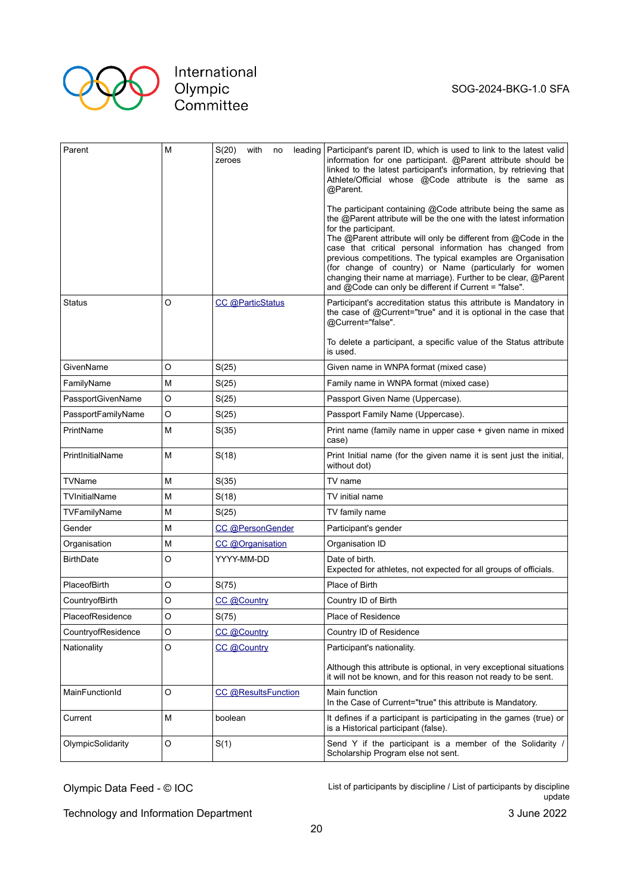

| Parent             | М | S(20)<br>with<br>no<br>zeroes | leading   Participant's parent ID, which is used to link to the latest valid<br>information for one participant. @Parent attribute should be<br>linked to the latest participant's information, by retrieving that<br>Athlete/Official whose @Code attribute is the same as<br>@Parent.<br>The participant containing @Code attribute being the same as<br>the @Parent attribute will be the one with the latest information<br>for the participant.<br>The @Parent attribute will only be different from @Code in the<br>case that critical personal information has changed from<br>previous competitions. The typical examples are Organisation<br>(for change of country) or Name (particularly for women<br>changing their name at marriage). Further to be clear, @Parent<br>and @Code can only be different if Current = "false". |
|--------------------|---|-------------------------------|------------------------------------------------------------------------------------------------------------------------------------------------------------------------------------------------------------------------------------------------------------------------------------------------------------------------------------------------------------------------------------------------------------------------------------------------------------------------------------------------------------------------------------------------------------------------------------------------------------------------------------------------------------------------------------------------------------------------------------------------------------------------------------------------------------------------------------------|
| Status             | O | CC @ParticStatus              | Participant's accreditation status this attribute is Mandatory in<br>the case of @Current="true" and it is optional in the case that<br>@Current="false".<br>To delete a participant, a specific value of the Status attribute                                                                                                                                                                                                                                                                                                                                                                                                                                                                                                                                                                                                           |
|                    |   |                               | is used.                                                                                                                                                                                                                                                                                                                                                                                                                                                                                                                                                                                                                                                                                                                                                                                                                                 |
| GivenName          | O | S(25)                         | Given name in WNPA format (mixed case)                                                                                                                                                                                                                                                                                                                                                                                                                                                                                                                                                                                                                                                                                                                                                                                                   |
| FamilyName         | М | S(25)                         | Family name in WNPA format (mixed case)                                                                                                                                                                                                                                                                                                                                                                                                                                                                                                                                                                                                                                                                                                                                                                                                  |
| PassportGivenName  | O | S(25)                         | Passport Given Name (Uppercase).                                                                                                                                                                                                                                                                                                                                                                                                                                                                                                                                                                                                                                                                                                                                                                                                         |
| PassportFamilyName | O | S(25)                         | Passport Family Name (Uppercase).                                                                                                                                                                                                                                                                                                                                                                                                                                                                                                                                                                                                                                                                                                                                                                                                        |
| PrintName          | М | S(35)                         | Print name (family name in upper case + given name in mixed<br>case)                                                                                                                                                                                                                                                                                                                                                                                                                                                                                                                                                                                                                                                                                                                                                                     |
| PrintlnitialName   | М | S(18)                         | Print Initial name (for the given name it is sent just the initial,<br>without dot)                                                                                                                                                                                                                                                                                                                                                                                                                                                                                                                                                                                                                                                                                                                                                      |
| TVName             | М | S(35)                         | TV name                                                                                                                                                                                                                                                                                                                                                                                                                                                                                                                                                                                                                                                                                                                                                                                                                                  |
| TVInitialName      | м | S(18)                         | TV initial name                                                                                                                                                                                                                                                                                                                                                                                                                                                                                                                                                                                                                                                                                                                                                                                                                          |
| TVFamilyName       | М | S(25)                         | TV family name                                                                                                                                                                                                                                                                                                                                                                                                                                                                                                                                                                                                                                                                                                                                                                                                                           |
| Gender             | м | CC @PersonGender              | Participant's gender                                                                                                                                                                                                                                                                                                                                                                                                                                                                                                                                                                                                                                                                                                                                                                                                                     |
| Organisation       | М | CC @Organisation              | Organisation ID                                                                                                                                                                                                                                                                                                                                                                                                                                                                                                                                                                                                                                                                                                                                                                                                                          |
| <b>BirthDate</b>   | O | YYYY-MM-DD                    | Date of birth.<br>Expected for athletes, not expected for all groups of officials.                                                                                                                                                                                                                                                                                                                                                                                                                                                                                                                                                                                                                                                                                                                                                       |
| PlaceofBirth       | O | S(75)                         | Place of Birth                                                                                                                                                                                                                                                                                                                                                                                                                                                                                                                                                                                                                                                                                                                                                                                                                           |
| CountryofBirth     | O | CC @Country                   | Country ID of Birth                                                                                                                                                                                                                                                                                                                                                                                                                                                                                                                                                                                                                                                                                                                                                                                                                      |
| PlaceofResidence   | O | S(75)                         | Place of Residence                                                                                                                                                                                                                                                                                                                                                                                                                                                                                                                                                                                                                                                                                                                                                                                                                       |
| CountryofResidence | O | CC @Country                   | Country ID of Residence                                                                                                                                                                                                                                                                                                                                                                                                                                                                                                                                                                                                                                                                                                                                                                                                                  |
| Nationality        | O | CC @Country                   | Participant's nationality.                                                                                                                                                                                                                                                                                                                                                                                                                                                                                                                                                                                                                                                                                                                                                                                                               |
|                    |   |                               | Although this attribute is optional, in very exceptional situations<br>it will not be known, and for this reason not ready to be sent.                                                                                                                                                                                                                                                                                                                                                                                                                                                                                                                                                                                                                                                                                                   |
| MainFunctionId     | O | CC @ResultsFunction           | Main function<br>In the Case of Current="true" this attribute is Mandatory.                                                                                                                                                                                                                                                                                                                                                                                                                                                                                                                                                                                                                                                                                                                                                              |
| Current            | М | boolean                       | It defines if a participant is participating in the games (true) or<br>is a Historical participant (false).                                                                                                                                                                                                                                                                                                                                                                                                                                                                                                                                                                                                                                                                                                                              |
| OlympicSolidarity  | O | S(1)                          | Send Y if the participant is a member of the Solidarity /<br>Scholarship Program else not sent.                                                                                                                                                                                                                                                                                                                                                                                                                                                                                                                                                                                                                                                                                                                                          |

Olympic Data Feed - © IOC List of participants by discipline / List of participants by discipline update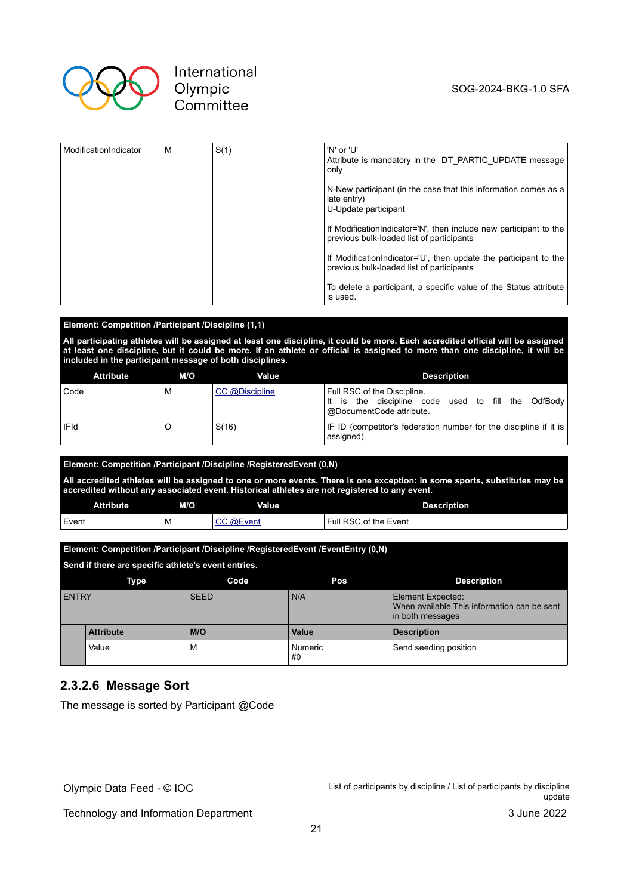

#### SOG-2024-BKG-1.0 SFA

| ModificationIndicator | м | S(1) | 'N' or 'U'<br>Attribute is mandatory in the DT PARTIC UPDATE message<br>only                                    |
|-----------------------|---|------|-----------------------------------------------------------------------------------------------------------------|
|                       |   |      | N-New participant (in the case that this information comes as a<br>late entry)<br>U-Update participant          |
|                       |   |      | If Modification Indicator='N', then include new participant to the<br>previous bulk-loaded list of participants |
|                       |   |      | If Modification Indicator='U', then update the participant to the<br>previous bulk-loaded list of participants  |
|                       |   |      | To delete a participant, a specific value of the Status attribute<br>is used.                                   |

#### <span id="page-20-3"></span>**Element: Competition /Participant /Discipline (1,1)**

**All participating athletes will be assigned at least one discipline, it could be more. Each accredited official will be assigned at least one discipline, but it could be more. If an athlete or official is assigned to more than one discipline, it will be included in the participant message of both disciplines.**

| Attribute | M/O | Value          | <b>Description</b>                                                                                            |
|-----------|-----|----------------|---------------------------------------------------------------------------------------------------------------|
| Code      | м   | CC @Discipline | Full RSC of the Discipline.<br>It is the discipline code used to fill the OdfBody<br>@DocumentCode attribute. |
| IFId      |     | S(16)          | IF ID (competitor's federation number for the discipline if it is<br>assigned).                               |

#### <span id="page-20-2"></span>**Element: Competition /Participant /Discipline /RegisteredEvent (0,N)**

**All accredited athletes will be assigned to one or more events. There is one exception: in some sports, substitutes may be accredited without any associated event. Historical athletes are not registered to any event.**

| Attribute. | M/O | <b>Value</b>      | Description             |
|------------|-----|-------------------|-------------------------|
| Event      | M   | @E<br>~~<br>vent: | RSC of the Event<br>ull |

<span id="page-20-1"></span>

|              | Element: Competition /Participant /Discipline /RegisteredEvent /EventEntry (0,N) |             |                      |                                                                                      |  |  |  |  |
|--------------|----------------------------------------------------------------------------------|-------------|----------------------|--------------------------------------------------------------------------------------|--|--|--|--|
|              | Send if there are specific athlete's event entries.                              |             |                      |                                                                                      |  |  |  |  |
|              | Pos<br><b>Description</b><br>Code<br>Type                                        |             |                      |                                                                                      |  |  |  |  |
| <b>ENTRY</b> |                                                                                  | <b>SEED</b> | N/A                  | Element Expected:<br>When available This information can be sent<br>in both messages |  |  |  |  |
|              | <b>Attribute</b>                                                                 | M/O         | Value                | <b>Description</b>                                                                   |  |  |  |  |
|              | Value                                                                            | М           | <b>Numeric</b><br>#0 | Send seeding position                                                                |  |  |  |  |

#### <span id="page-20-0"></span>**2.3.2.6 Message Sort**

The message is sorted by Participant @Code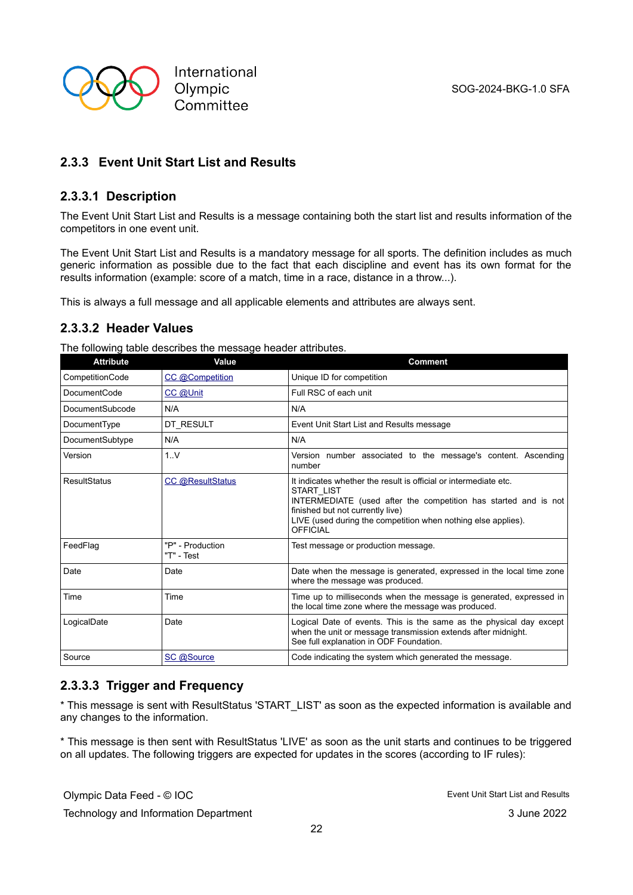

## <span id="page-21-3"></span>**2.3.3 Event Unit Start List and Results**

#### <span id="page-21-2"></span>**2.3.3.1 Description**

The Event Unit Start List and Results is a message containing both the start list and results information of the competitors in one event unit.

The Event Unit Start List and Results is a mandatory message for all sports. The definition includes as much generic information as possible due to the fact that each discipline and event has its own format for the results information (example: score of a match, time in a race, distance in a throw...).

This is always a full message and all applicable elements and attributes are always sent.

#### <span id="page-21-1"></span>**2.3.3.2 Header Values**

The following table describes the message header attributes.

| <b>Attribute</b>       | Value                          | <b>Comment</b>                                                                                                                                                                                                                                                            |
|------------------------|--------------------------------|---------------------------------------------------------------------------------------------------------------------------------------------------------------------------------------------------------------------------------------------------------------------------|
| CompetitionCode        | CC @Competition                | Unique ID for competition                                                                                                                                                                                                                                                 |
| <b>DocumentCode</b>    | CC @Unit                       | Full RSC of each unit                                                                                                                                                                                                                                                     |
| <b>DocumentSubcode</b> | N/A                            | N/A                                                                                                                                                                                                                                                                       |
| DocumentType           | DT RESULT                      | Event Unit Start List and Results message                                                                                                                                                                                                                                 |
| DocumentSubtype        | N/A                            | N/A                                                                                                                                                                                                                                                                       |
| Version                | 1.1V                           | Version number associated to the message's content. Ascending<br>number                                                                                                                                                                                                   |
| <b>ResultStatus</b>    | CC @ResultStatus               | It indicates whether the result is official or intermediate etc.<br>START_LIST<br>INTERMEDIATE (used after the competition has started and is not<br>finished but not currently live)<br>LIVE (used during the competition when nothing else applies).<br><b>OFFICIAL</b> |
| FeedFlag               | "P" - Production<br>"T" - Test | Test message or production message.                                                                                                                                                                                                                                       |
| Date                   | Date                           | Date when the message is generated, expressed in the local time zone<br>where the message was produced.                                                                                                                                                                   |
| Time                   | Time                           | Time up to milliseconds when the message is generated, expressed in<br>the local time zone where the message was produced.                                                                                                                                                |
| LogicalDate            | Date                           | Logical Date of events. This is the same as the physical day except<br>when the unit or message transmission extends after midnight.<br>See full explanation in ODF Foundation.                                                                                           |
| Source                 | SC @Source                     | Code indicating the system which generated the message.                                                                                                                                                                                                                   |

#### <span id="page-21-0"></span>**2.3.3.3 Trigger and Frequency**

\* This message is sent with ResultStatus 'START\_LIST' as soon as the expected information is available and any changes to the information.

\* This message is then sent with ResultStatus 'LIVE' as soon as the unit starts and continues to be triggered on all updates. The following triggers are expected for updates in the scores (according to IF rules):

Olympic Data Feed - © IOC **Event Unit Start List and Results**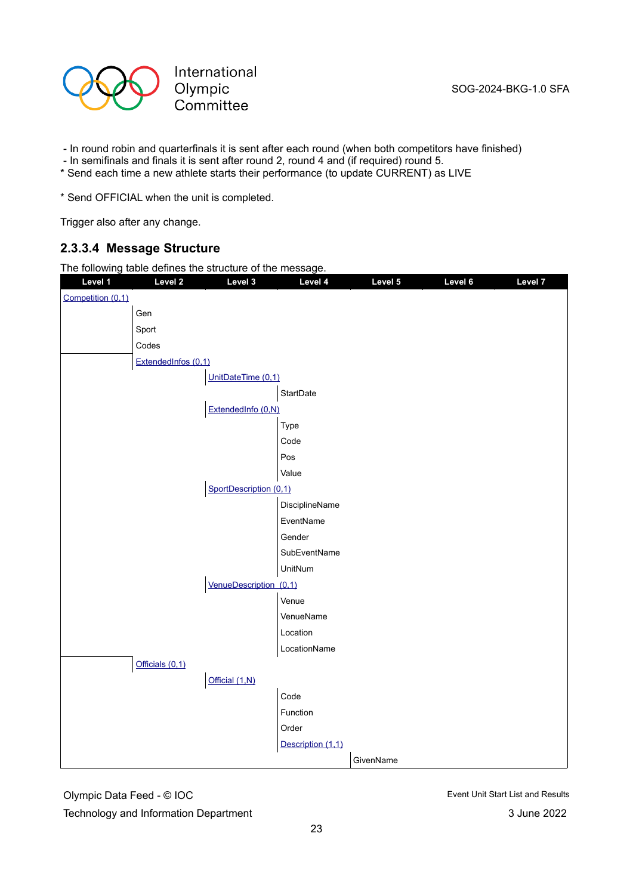

- In round robin and quarterfinals it is sent after each round (when both competitors have finished)
- In semifinals and finals it is sent after round 2, round 4 and (if required) round 5.
- \* Send each time a new athlete starts their performance (to update CURRENT) as LIVE
- \* Send OFFICIAL when the unit is completed.

Trigger also after any change.

#### <span id="page-22-0"></span>**2.3.3.4 Message Structure**

The following table defines the structure of the message.



Olympic Data Feed - © IOC **Event Unit Start List and Results** Technology and Information Department 3 June 2022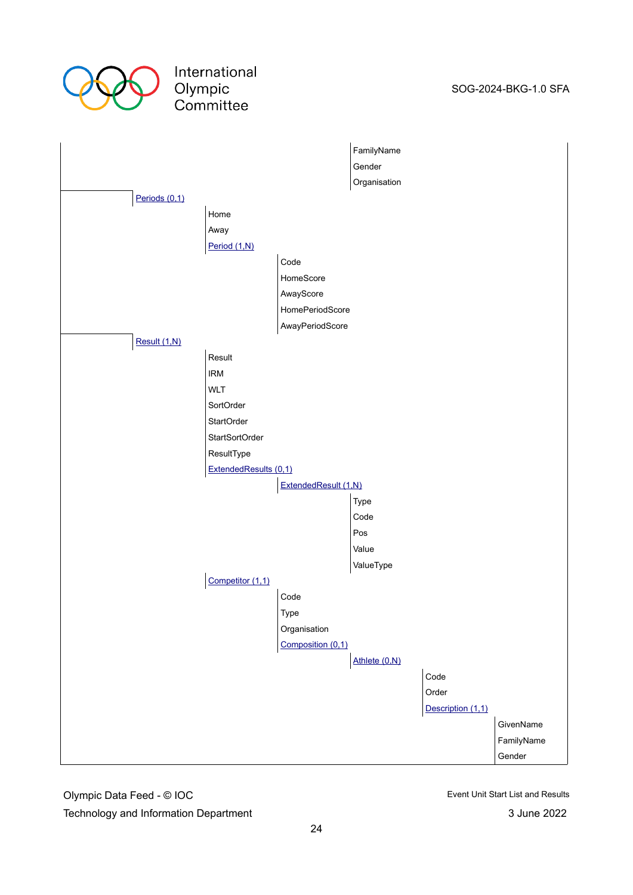

#### SOG-2024-BKG-1.0 SFA



Olympic Data Feed - © IOC **Example 2018** Event Unit Start List and Results Technology and Information Department 3 June 2022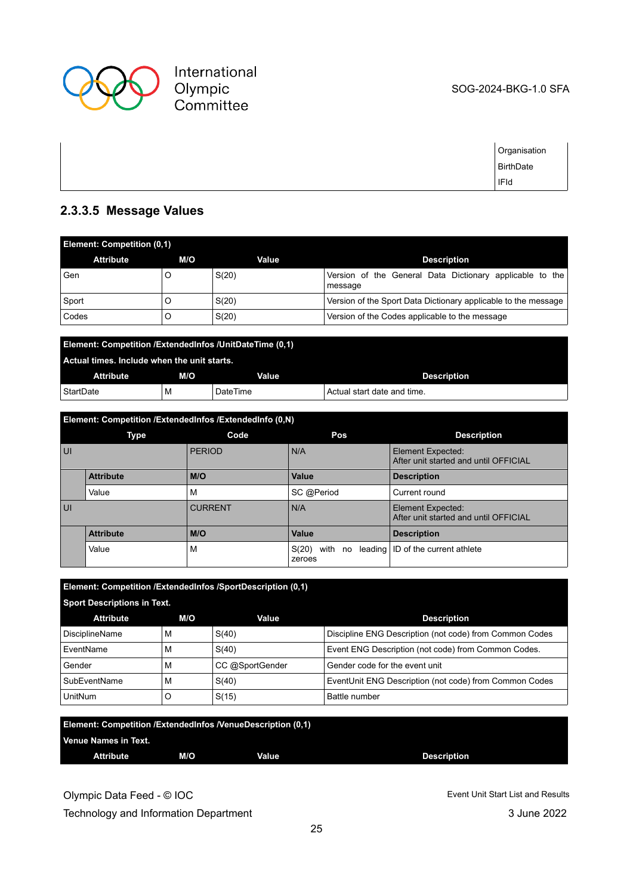

International<br>Olympic<br>Committee

Organisation BirthDate IFId

## <span id="page-24-0"></span>**2.3.3.5 Message Values**

<span id="page-24-5"></span>

| <b>Element: Competition (0,1)</b> |     |       |                                                                     |  |  |  |
|-----------------------------------|-----|-------|---------------------------------------------------------------------|--|--|--|
| <b>Attribute</b>                  | M/O | Value | <b>Description</b>                                                  |  |  |  |
| Gen                               | O   | S(20) | Version of the General Data Dictionary applicable to the<br>message |  |  |  |
| Sport                             | O   | S(20) | Version of the Sport Data Dictionary applicable to the message      |  |  |  |
| Codes                             | O   | S(20) | Version of the Codes applicable to the message                      |  |  |  |

<span id="page-24-4"></span>

| <b>Element: Competition /ExtendedInfos /UnitDateTime (0.1)</b> |     |                 |                             |  |  |  |
|----------------------------------------------------------------|-----|-----------------|-----------------------------|--|--|--|
| Actual times. Include when the unit starts.                    |     |                 |                             |  |  |  |
| <b>Attribute</b>                                               | M/O | Value           | <b>Description</b>          |  |  |  |
| StartDate                                                      | M   | <b>DateTime</b> | Actual start date and time. |  |  |  |

<span id="page-24-3"></span>

|    | Element: Competition /ExtendedInfos /ExtendedInfo (0,N) |                |                 |                                                            |  |  |  |
|----|---------------------------------------------------------|----------------|-----------------|------------------------------------------------------------|--|--|--|
|    | <b>Type</b>                                             | Code           | Pos             | <b>Description</b>                                         |  |  |  |
| UI |                                                         | <b>PERIOD</b>  | N/A             | Element Expected:<br>After unit started and until OFFICIAL |  |  |  |
|    | <b>Attribute</b>                                        | M/O            | <b>Value</b>    | <b>Description</b>                                         |  |  |  |
|    | Value                                                   | M              | SC @Period      | Current round                                              |  |  |  |
| UI |                                                         | <b>CURRENT</b> | N/A             | Element Expected:<br>After unit started and until OFFICIAL |  |  |  |
|    | <b>Attribute</b>                                        | M/O            | Value           | <b>Description</b>                                         |  |  |  |
|    | Value                                                   | M              | S(20)<br>zeroes | with no leading ID of the current athlete                  |  |  |  |

<span id="page-24-2"></span>

| Element: Competition /ExtendedInfos /SportDescription (0,1) |     |                 |                                                         |  |  |  |
|-------------------------------------------------------------|-----|-----------------|---------------------------------------------------------|--|--|--|
| <b>Sport Descriptions in Text.</b>                          |     |                 |                                                         |  |  |  |
| <b>Attribute</b>                                            | M/O | Value           | <b>Description</b>                                      |  |  |  |
| <b>DisciplineName</b>                                       | м   | S(40)           | Discipline ENG Description (not code) from Common Codes |  |  |  |
| EventName                                                   | м   | S(40)           | Event ENG Description (not code) from Common Codes.     |  |  |  |
| Gender                                                      | м   | CC @SportGender | Gender code for the event unit                          |  |  |  |
| SubEventName                                                | М   | S(40)           | EventUnit ENG Description (not code) from Common Codes  |  |  |  |
| <b>UnitNum</b>                                              | O   | S(15)           | Battle number                                           |  |  |  |

<span id="page-24-1"></span>

| Element: Competition /ExtendedInfos /VenueDescription (0.1) |     |       |                                   |  |  |  |  |
|-------------------------------------------------------------|-----|-------|-----------------------------------|--|--|--|--|
| l Venue Names in Text.                                      |     |       |                                   |  |  |  |  |
| <b>Attribute</b>                                            | M/O | Value | <b>Description</b>                |  |  |  |  |
|                                                             |     |       |                                   |  |  |  |  |
| Olympic Data Feed - © IOC                                   |     |       | Event Unit Start List and Results |  |  |  |  |
| Technology and Information Department                       |     |       | 3 June 2022                       |  |  |  |  |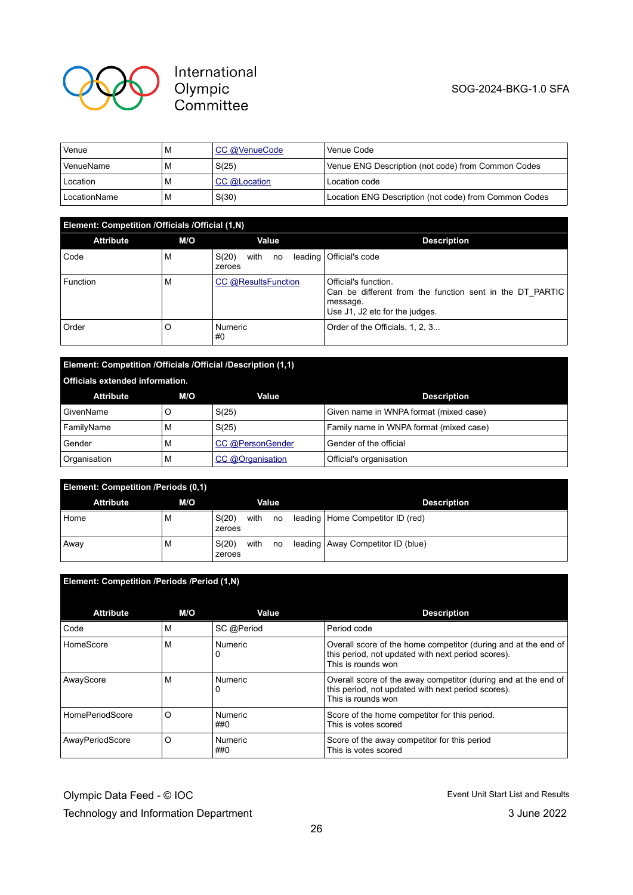

| Venue        | M | CC @VenueCode | Venue Code                                            |
|--------------|---|---------------|-------------------------------------------------------|
| VenueName    | M | S(25)         | Venue ENG Description (not code) from Common Codes    |
| Location     | М | CC @Location  | Location code                                         |
| LocationName | M | S(30)         | Location ENG Description (not code) from Common Codes |

<span id="page-25-1"></span>

| Element: Competition / Officials / Official (1,N) |     |                               |                                                                                                                                |  |  |  |  |
|---------------------------------------------------|-----|-------------------------------|--------------------------------------------------------------------------------------------------------------------------------|--|--|--|--|
| <b>Attribute</b>                                  | M/O | Value                         | <b>Description</b>                                                                                                             |  |  |  |  |
| Code                                              | M   | S(20)<br>with<br>no<br>zeroes | leading   Official's code                                                                                                      |  |  |  |  |
| Function                                          | M   | CC @ResultsFunction           | Official's function.<br>Can be different from the function sent in the DT PARTIC<br>message.<br>Use J1, J2 etc for the judges. |  |  |  |  |
| Order                                             | O   | <b>Numeric</b><br>#0          | Order of the Officials, 1, 2, 3                                                                                                |  |  |  |  |

<span id="page-25-0"></span>

| Element: Competition /Officials /Official /Description (1,1) |     |                  |                                         |  |  |  |
|--------------------------------------------------------------|-----|------------------|-----------------------------------------|--|--|--|
| Officials extended information.                              |     |                  |                                         |  |  |  |
| <b>Attribute</b>                                             | M/O | Value            | <b>Description</b>                      |  |  |  |
| GivenName                                                    |     | S(25)            | Given name in WNPA format (mixed case)  |  |  |  |
| FamilyName                                                   | м   | S(25)            | Family name in WNPA format (mixed case) |  |  |  |
| Gender                                                       | м   | CC @PersonGender | Gender of the official                  |  |  |  |
| Organisation                                                 | м   | CC @Organisation | Official's organisation                 |  |  |  |

<span id="page-25-4"></span>

| <b>Element: Competition /Periods (0,1)</b> |     |                 |      |       |  |                                     |  |
|--------------------------------------------|-----|-----------------|------|-------|--|-------------------------------------|--|
| <b>Attribute</b>                           | M/O |                 |      | Value |  | <b>Description</b>                  |  |
| Home                                       | м   | S(20)<br>zeroes | with | no    |  | leading   Home Competitor ID (red)  |  |
| Away                                       | м   | S(20)<br>zeroes | with | no    |  | leading   Away Competitor ID (blue) |  |

<span id="page-25-3"></span><span id="page-25-2"></span>

| <b>Element: Competition /Periods /Period (1,N)</b> |     |                       |                                                                                                                                            |  |
|----------------------------------------------------|-----|-----------------------|--------------------------------------------------------------------------------------------------------------------------------------------|--|
| <b>Attribute</b>                                   | M/O | Value                 | <b>Description</b>                                                                                                                         |  |
| Code                                               | М   | SC @Period            | Period code                                                                                                                                |  |
| HomeScore                                          | M   | <b>Numeric</b>        | Overall score of the home competitor (during and at the end of<br>this period, not updated with next period scores).<br>This is rounds won |  |
| AwayScore                                          | M   | Numeric<br>0          | Overall score of the away competitor (during and at the end of<br>this period, not updated with next period scores).<br>This is rounds won |  |
| <b>HomePeriodScore</b>                             | O   | <b>Numeric</b><br>##0 | Score of the home competitor for this period.<br>This is votes scored                                                                      |  |
| AwayPeriodScore                                    | O   | <b>Numeric</b><br>##0 | Score of the away competitor for this period<br>This is votes scored                                                                       |  |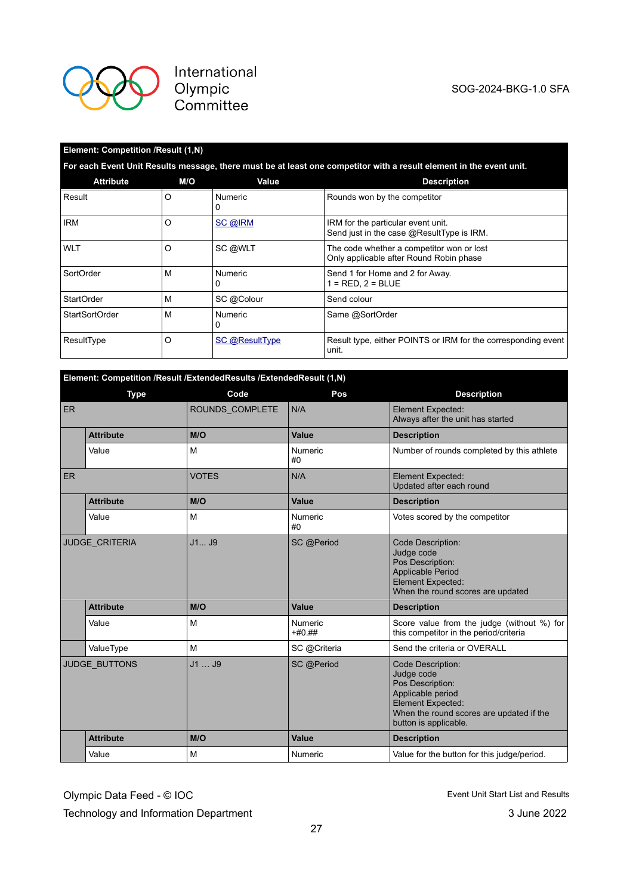

International<br>Olympic<br>Committee

#### SOG-2024-BKG-1.0 SFA

| Element: Competition /Result (1,N) |         |                       |                                                                                                                     |  |
|------------------------------------|---------|-----------------------|---------------------------------------------------------------------------------------------------------------------|--|
|                                    |         |                       | For each Event Unit Results message, there must be at least one competitor with a result element in the event unit. |  |
| <b>Attribute</b>                   | M/O     | Value                 | <b>Description</b>                                                                                                  |  |
| Result                             | O       | <b>Numeric</b><br>0   | Rounds won by the competitor                                                                                        |  |
| <b>IRM</b>                         | O       | SC @IRM               | IRM for the particular event unit.<br>Send just in the case @ResultType is IRM.                                     |  |
| <b>WLT</b>                         | $\circ$ | SC @WLT               | The code whether a competitor won or lost<br>Only applicable after Round Robin phase                                |  |
| SortOrder                          | м       | <b>Numeric</b><br>0   | Send 1 for Home and 2 for Away.<br>$1 = RED$ , $2 = BLUE$                                                           |  |
| <b>StartOrder</b>                  | м       | SC @Colour            | Send colour                                                                                                         |  |
| <b>StartSortOrder</b>              | м       | <b>Numeric</b><br>0   | Same @SortOrder                                                                                                     |  |
| ResultType                         | $\circ$ | <b>SC @ResultType</b> | Result type, either POINTS or IRM for the corresponding event<br>unit.                                              |  |

<span id="page-26-0"></span>

|           | Element: Competition / Result / Extended Results / Extended Result (1, N) |                 |                            |                                                                                                                                                                           |  |
|-----------|---------------------------------------------------------------------------|-----------------|----------------------------|---------------------------------------------------------------------------------------------------------------------------------------------------------------------------|--|
|           | <b>Type</b>                                                               | Code            | Pos                        | <b>Description</b>                                                                                                                                                        |  |
| <b>ER</b> |                                                                           | ROUNDS_COMPLETE | N/A                        | <b>Element Expected:</b><br>Always after the unit has started                                                                                                             |  |
|           | <b>Attribute</b>                                                          | M/O             | Value                      | <b>Description</b>                                                                                                                                                        |  |
|           | Value                                                                     | M               | <b>Numeric</b><br>#0       | Number of rounds completed by this athlete                                                                                                                                |  |
| <b>ER</b> |                                                                           | <b>VOTES</b>    | N/A                        | <b>Element Expected:</b><br>Updated after each round                                                                                                                      |  |
|           | <b>Attribute</b>                                                          | M/O             | Value                      | <b>Description</b>                                                                                                                                                        |  |
|           | Value                                                                     | M               | Numeric<br>#0              | Votes scored by the competitor                                                                                                                                            |  |
|           | <b>JUDGE CRITERIA</b>                                                     | $J1$ $J9$       | SC @Period                 | <b>Code Description:</b><br>Judge code<br>Pos Description:<br><b>Applicable Period</b><br><b>Element Expected:</b><br>When the round scores are updated                   |  |
|           | <b>Attribute</b>                                                          | M/O             | Value                      | <b>Description</b>                                                                                                                                                        |  |
|           | Value                                                                     | M               | <b>Numeric</b><br>$+#0.##$ | Score value from the judge (without %) for<br>this competitor in the period/criteria                                                                                      |  |
|           | ValueType                                                                 | M               | SC @Criteria               | Send the criteria or OVERALL                                                                                                                                              |  |
|           | <b>JUDGE BUTTONS</b>                                                      | $J1$ J9         | SC @Period                 | <b>Code Description:</b><br>Judge code<br>Pos Description:<br>Applicable period<br>Element Expected:<br>When the round scores are updated if the<br>button is applicable. |  |
|           | <b>Attribute</b>                                                          | M/O             | Value                      | <b>Description</b>                                                                                                                                                        |  |
|           | Value                                                                     | M               | Numeric                    | Value for the button for this judge/period.                                                                                                                               |  |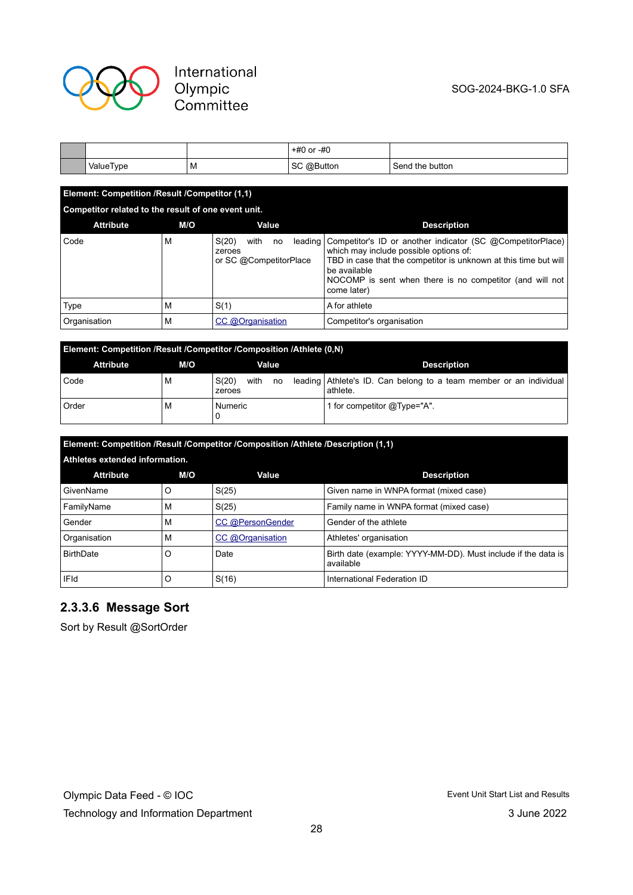

#### SOG-2024-BKG-1.0 SFA

|           |            | +#0 or -#0 |                 |
|-----------|------------|------------|-----------------|
| ValueType | <b>IVI</b> | SC @Button | Send the button |
|           |            |            |                 |

#### <span id="page-27-3"></span>**Element: Competition /Result /Competitor (1,1)**

| <b>Attribute</b> | M/O | Value                                                   | <b>Description</b>                                                                                                                                                                                                                                                          |
|------------------|-----|---------------------------------------------------------|-----------------------------------------------------------------------------------------------------------------------------------------------------------------------------------------------------------------------------------------------------------------------------|
| Code             | м   | S(20)<br>with<br>no<br>zeroes<br>or SC @CompetitorPlace | leading Competitor's ID or another indicator (SC @CompetitorPlace)<br>which may include possible options of:<br>TBD in case that the competitor is unknown at this time but will<br>be available<br>NOCOMP is sent when there is no competitor (and will not<br>come later) |
| Type             | м   | S(1)                                                    | A for athlete                                                                                                                                                                                                                                                               |
| Organisation     | м   | CC @Organisation                                        | Competitor's organisation                                                                                                                                                                                                                                                   |

<span id="page-27-2"></span>

| <b>Element: Competition /Result /Competitor /Composition /Athlete (0.N)</b> |     |                               |                                                                                |
|-----------------------------------------------------------------------------|-----|-------------------------------|--------------------------------------------------------------------------------|
| <b>Attribute</b>                                                            | M/O | Value                         | <b>Description</b>                                                             |
| Code                                                                        | М   | S(20)<br>with<br>no<br>zeroes | leading Athlete's ID. Can belong to a team member or an individual<br>athlete. |
| Order                                                                       | м   | Numeric<br>0                  | 1 for competitor @Type="A".                                                    |

### <span id="page-27-1"></span>**Element: Competition /Result /Competitor /Composition /Athlete /Description (1,1)**

| Athletes extended information. |     |                  |                                                                            |  |
|--------------------------------|-----|------------------|----------------------------------------------------------------------------|--|
| <b>Attribute</b>               | M/O | Value            | <b>Description</b>                                                         |  |
| GivenName                      | O   | S(25)            | Given name in WNPA format (mixed case)                                     |  |
| FamilyName                     | м   | S(25)            | Family name in WNPA format (mixed case)                                    |  |
| Gender                         | м   | CC @PersonGender | Gender of the athlete                                                      |  |
| Organisation                   | м   | CC @Organisation | Athletes' organisation                                                     |  |
| <b>BirthDate</b>               | O   | Date             | Birth date (example: YYYY-MM-DD). Must include if the data is<br>available |  |
| IFId                           | O   | S(16)            | International Federation ID                                                |  |

## <span id="page-27-0"></span>**2.3.3.6 Message Sort**

Sort by Result @SortOrder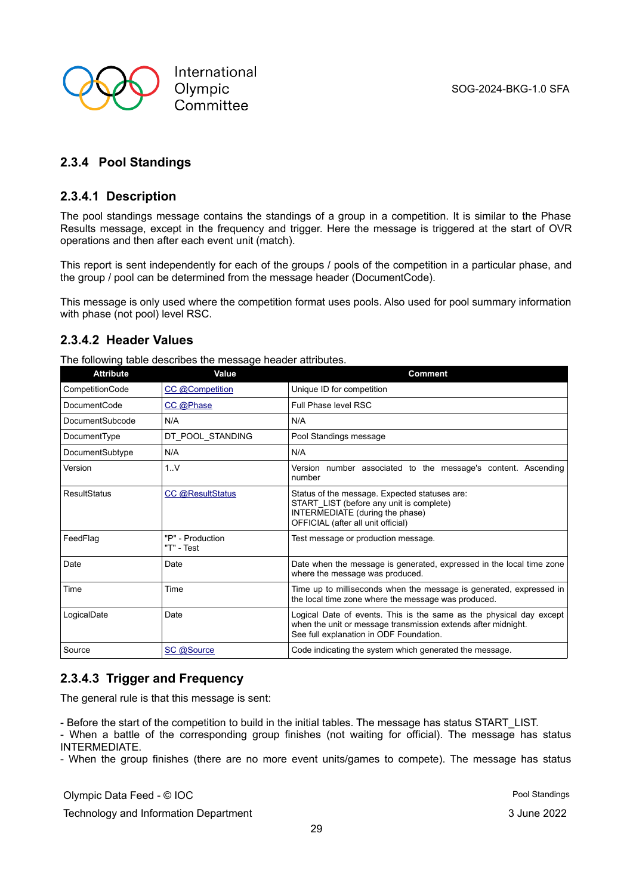

## <span id="page-28-3"></span>**2.3.4 Pool Standings**

#### <span id="page-28-2"></span>**2.3.4.1 Description**

The pool standings message contains the standings of a group in a competition. It is similar to the Phase Results message, except in the frequency and trigger. Here the message is triggered at the start of OVR operations and then after each event unit (match).

This report is sent independently for each of the groups / pools of the competition in a particular phase, and the group / pool can be determined from the message header (DocumentCode).

This message is only used where the competition format uses pools. Also used for pool summary information with phase (not pool) level RSC.

#### <span id="page-28-1"></span>**2.3.4.2 Header Values**

The following table describes the message header attributes.

| <b>Attribute</b>    | Value                          | <b>Comment</b>                                                                                                                                                                  |
|---------------------|--------------------------------|---------------------------------------------------------------------------------------------------------------------------------------------------------------------------------|
| CompetitionCode     | CC @Competition                | Unique ID for competition                                                                                                                                                       |
| DocumentCode        | CC @Phase                      | Full Phase level RSC                                                                                                                                                            |
| DocumentSubcode     | N/A                            | N/A                                                                                                                                                                             |
| DocumentType        | DT POOL STANDING               | Pool Standings message                                                                                                                                                          |
| DocumentSubtype     | N/A                            | N/A                                                                                                                                                                             |
| Version             | 1.1V                           | Version number associated to the message's content. Ascending<br>number                                                                                                         |
| <b>ResultStatus</b> | CC @ResultStatus               | Status of the message. Expected statuses are:<br>START LIST (before any unit is complete)<br>INTERMEDIATE (during the phase)<br>OFFICIAL (after all unit official)              |
| FeedFlag            | "P" - Production<br>"T" - Test | Test message or production message.                                                                                                                                             |
| Date                | Date                           | Date when the message is generated, expressed in the local time zone<br>where the message was produced.                                                                         |
| Time                | Time                           | Time up to milliseconds when the message is generated, expressed in<br>the local time zone where the message was produced.                                                      |
| LogicalDate         | Date                           | Logical Date of events. This is the same as the physical day except<br>when the unit or message transmission extends after midnight.<br>See full explanation in ODF Foundation. |
| Source              | SC @Source                     | Code indicating the system which generated the message.                                                                                                                         |

#### <span id="page-28-0"></span>**2.3.4.3 Trigger and Frequency**

The general rule is that this message is sent:

- Before the start of the competition to build in the initial tables. The message has status START\_LIST.

- When a battle of the corresponding group finishes (not waiting for official). The message has status INTERMEDIATE.

- When the group finishes (there are no more event units/games to compete). The message has status

Olympic Data Feed - © IOC **Pool Standings**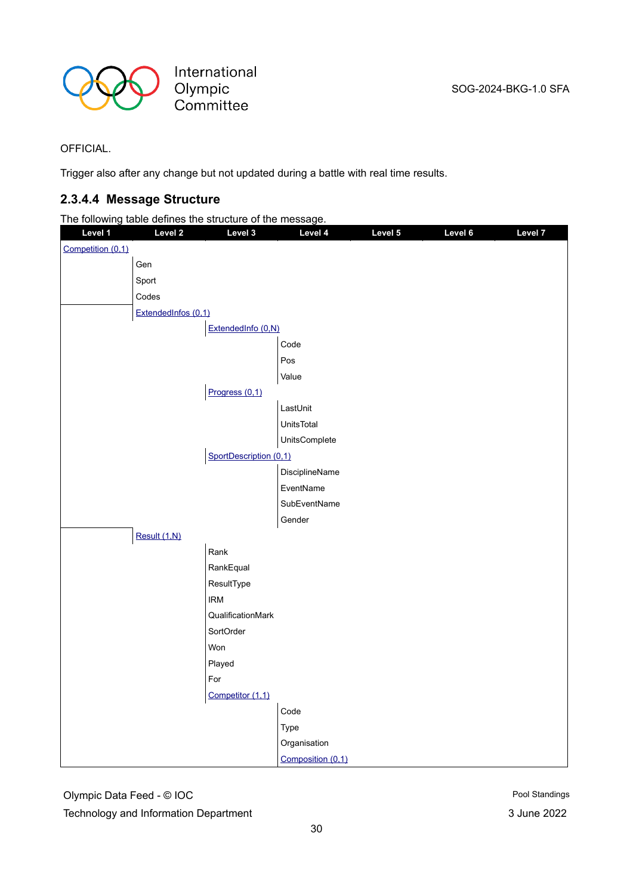

OFFICIAL.

Trigger also after any change but not updated during a battle with real time results.

## <span id="page-29-0"></span>**2.3.4.4 Message Structure**

The following table defines the structure of the message.

| Level 1           | Level 2             | Level 3                | Level 4           | Level 5 | Level 6 | Level 7 |
|-------------------|---------------------|------------------------|-------------------|---------|---------|---------|
| Competition (0,1) |                     |                        |                   |         |         |         |
|                   | Gen                 |                        |                   |         |         |         |
|                   | Sport               |                        |                   |         |         |         |
|                   | Codes               |                        |                   |         |         |         |
|                   | ExtendedInfos (0,1) |                        |                   |         |         |         |
|                   |                     | ExtendedInfo (0,N)     |                   |         |         |         |
|                   |                     |                        | Code              |         |         |         |
|                   |                     |                        | Pos               |         |         |         |
|                   |                     |                        | Value             |         |         |         |
|                   |                     | Progress (0,1)         |                   |         |         |         |
|                   |                     |                        | LastUnit          |         |         |         |
|                   |                     |                        | UnitsTotal        |         |         |         |
|                   |                     |                        | UnitsComplete     |         |         |         |
|                   |                     | SportDescription (0,1) |                   |         |         |         |
|                   |                     |                        | DisciplineName    |         |         |         |
|                   |                     |                        | EventName         |         |         |         |
|                   |                     |                        | SubEventName      |         |         |         |
|                   |                     |                        | Gender            |         |         |         |
|                   | Result (1,N)        |                        |                   |         |         |         |
|                   |                     | Rank                   |                   |         |         |         |
|                   |                     | RankEqual              |                   |         |         |         |
|                   |                     | ResultType             |                   |         |         |         |
|                   |                     | <b>IRM</b>             |                   |         |         |         |
|                   |                     | QualificationMark      |                   |         |         |         |
|                   |                     | SortOrder              |                   |         |         |         |
|                   |                     | Won                    |                   |         |         |         |
|                   |                     | Played                 |                   |         |         |         |
|                   |                     | For                    |                   |         |         |         |
|                   |                     | Competitor (1,1)       |                   |         |         |         |
|                   |                     |                        | Code              |         |         |         |
|                   |                     |                        | Type              |         |         |         |
|                   |                     |                        | Organisation      |         |         |         |
|                   |                     |                        | Composition (0,1) |         |         |         |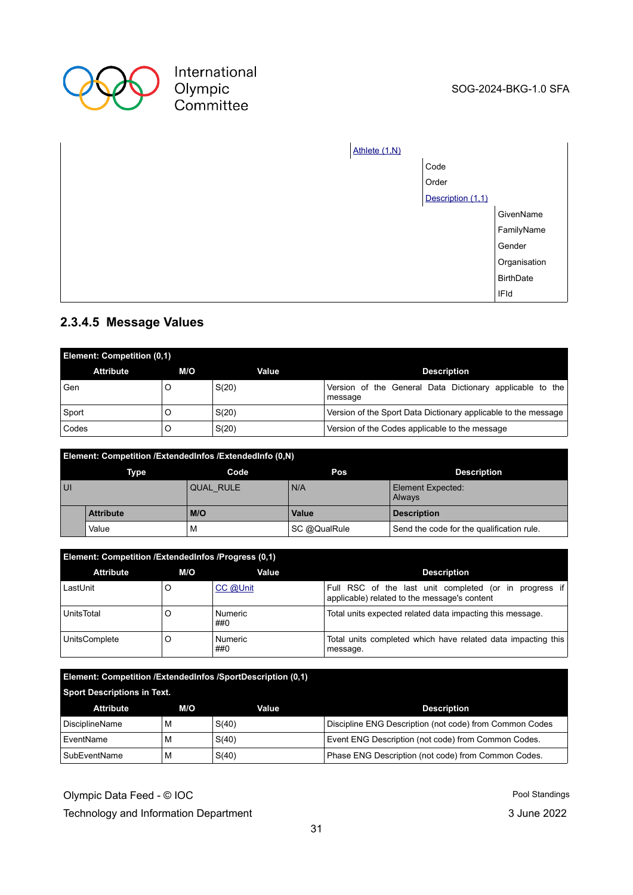

| Athlete (1,N) |                   |                  |
|---------------|-------------------|------------------|
|               | Code              |                  |
|               | Order             |                  |
|               | Description (1,1) |                  |
|               |                   | GivenName        |
|               |                   | FamilyName       |
|               |                   | Gender           |
|               |                   | Organisation     |
|               |                   | <b>BirthDate</b> |
|               |                   | IFId             |

## <span id="page-30-0"></span>**2.3.4.5 Message Values**

<span id="page-30-4"></span>

| <b>Element: Competition (0,1)</b> |     |       |                                                                     |  |
|-----------------------------------|-----|-------|---------------------------------------------------------------------|--|
| <b>Attribute</b>                  | M/O | Value | <b>Description</b>                                                  |  |
| Gen                               |     | S(20) | Version of the General Data Dictionary applicable to the<br>message |  |
| Sport                             |     | S(20) | Version of the Sport Data Dictionary applicable to the message      |  |
| Codes                             |     | S(20) | Version of the Codes applicable to the message                      |  |

<span id="page-30-3"></span>

|                     | Element: Competition /ExtendedInfos /ExtendedInfo (0,N) |                  |              |                                           |  |  |
|---------------------|---------------------------------------------------------|------------------|--------------|-------------------------------------------|--|--|
| <b>Type</b><br>Code |                                                         |                  | Pos          | <b>Description</b>                        |  |  |
| UI                  |                                                         | <b>QUAL RULE</b> | N/A          | <b>Element Expected:</b><br>Always        |  |  |
|                     | <b>Attribute</b>                                        | M/O              | Value        | <b>Description</b>                        |  |  |
|                     | Value                                                   | M                | SC @QualRule | Send the code for the qualification rule. |  |  |

<span id="page-30-2"></span>

| Element: Competition /ExtendedInfos /Progress (0.1) |     |                       |                                                                                                        |  |  |  |
|-----------------------------------------------------|-----|-----------------------|--------------------------------------------------------------------------------------------------------|--|--|--|
| <b>Attribute</b>                                    | M/O | Value                 | <b>Description</b>                                                                                     |  |  |  |
| LastUnit                                            |     | CC @Unit              | Full RSC of the last unit completed (or in progress if<br>applicable) related to the message's content |  |  |  |
| UnitsTotal                                          | O   | <b>Numeric</b><br>##0 | Total units expected related data impacting this message.                                              |  |  |  |
| UnitsComplete                                       | O   | <b>Numeric</b><br>##0 | Total units completed which have related data impacting this<br>message.                               |  |  |  |

<span id="page-30-1"></span>

| Element: Competition /ExtendedInfos /SportDescription (0.1) |     |       |                                                         |  |  |  |
|-------------------------------------------------------------|-----|-------|---------------------------------------------------------|--|--|--|
| <b>Sport Descriptions in Text.</b>                          |     |       |                                                         |  |  |  |
| <b>Attribute</b>                                            | M/O | Value | <b>Description</b>                                      |  |  |  |
| <b>DisciplineName</b>                                       | M   | S(40) | Discipline ENG Description (not code) from Common Codes |  |  |  |
| EventName                                                   | M   | S(40) | Event ENG Description (not code) from Common Codes.     |  |  |  |
| SubEventName                                                | M   | S(40) | Phase ENG Description (not code) from Common Codes.     |  |  |  |

Olympic Data Feed - © IOC **Pool Standings** Technology and Information Department 3 June 2022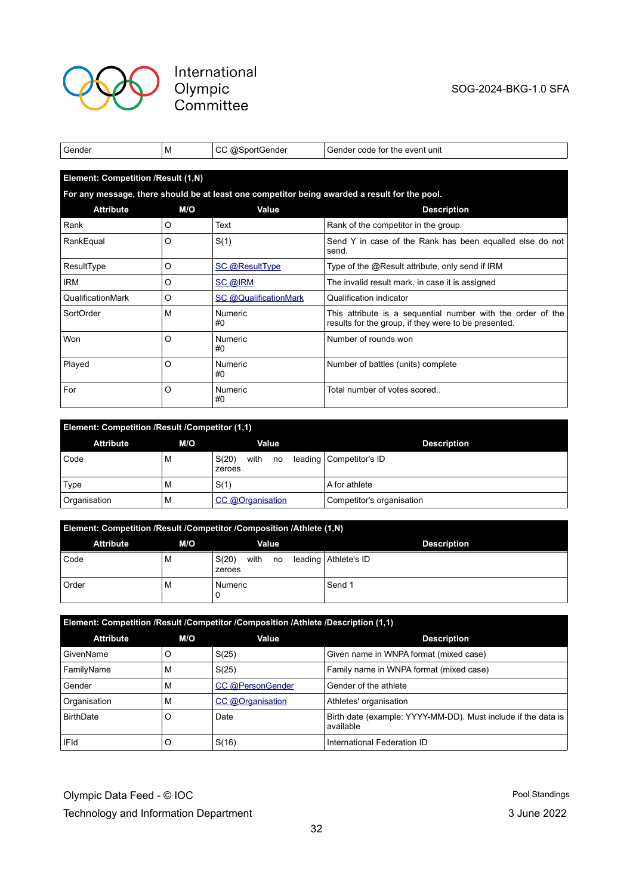

<span id="page-31-1"></span>

| Gender                             | M       | CC @SportGender       | Gender code for the event unit                                                                                      |
|------------------------------------|---------|-----------------------|---------------------------------------------------------------------------------------------------------------------|
|                                    |         |                       |                                                                                                                     |
| Element: Competition /Result (1,N) |         |                       |                                                                                                                     |
|                                    |         |                       | For any message, there should be at least one competitor being awarded a result for the pool.                       |
| <b>Attribute</b>                   | M/O     | Value                 | <b>Description</b>                                                                                                  |
| Rank                               | O       | Text                  | Rank of the competitor in the group.                                                                                |
| RankEqual                          | O       | S(1)                  | Send Y in case of the Rank has been equalled else do not<br>send.                                                   |
| ResultType                         | O       | <b>SC @ResultType</b> | Type of the @Result attribute, only send if IRM                                                                     |
| <b>IRM</b>                         | O       | SC @IRM               | The invalid result mark, in case it is assigned                                                                     |
| QualificationMark                  | O       | SC @QualificationMark | Qualification indicator                                                                                             |
| SortOrder                          | M       | <b>Numeric</b><br>#0  | This attribute is a sequential number with the order of the<br>results for the group, if they were to be presented. |
| Won                                | $\circ$ | <b>Numeric</b><br>#0  | Number of rounds won                                                                                                |
| Played                             | O       | <b>Numeric</b><br>#0  | Number of battles (units) complete                                                                                  |
| For                                | O       | <b>Numeric</b><br>#0  | Total number of votes scored                                                                                        |

<span id="page-31-0"></span>

| <b>Element: Competition /Result /Competitor (1,1)</b> |     |                               |                           |  |  |  |
|-------------------------------------------------------|-----|-------------------------------|---------------------------|--|--|--|
| <b>Attribute</b>                                      | M/O | Value                         | <b>Description</b>        |  |  |  |
| Code                                                  | M   | S(20)<br>with<br>no<br>zeroes | leading   Competitor's ID |  |  |  |
| Type                                                  | M   | S(1)                          | A for athlete             |  |  |  |
| Organisation                                          | м   | CC @Organisation              | Competitor's organisation |  |  |  |

<span id="page-31-3"></span>

| <b>Element: Competition /Result /Competitor /Composition /Athlete (1,N)</b> |     |                               |                        |  |  |
|-----------------------------------------------------------------------------|-----|-------------------------------|------------------------|--|--|
| <b>Attribute</b>                                                            | M/O | Value                         | <b>Description</b>     |  |  |
| Code                                                                        | М   | S(20)<br>with<br>no<br>zeroes | leading   Athlete's ID |  |  |
| Order                                                                       | M   | Numeric<br>0                  | Send 1                 |  |  |

<span id="page-31-2"></span>

| Element: Competition /Result /Competitor /Composition /Athlete /Description (1,1) |     |                  |                                                                              |  |
|-----------------------------------------------------------------------------------|-----|------------------|------------------------------------------------------------------------------|--|
| <b>Attribute</b>                                                                  | M/O | Value            | <b>Description</b>                                                           |  |
| GivenName                                                                         | O   | S(25)            | Given name in WNPA format (mixed case)                                       |  |
| FamilyName                                                                        | м   | S(25)            | Family name in WNPA format (mixed case)                                      |  |
| Gender                                                                            | м   | CC @PersonGender | Gender of the athlete                                                        |  |
| Organisation                                                                      | м   | CC @Organisation | Athletes' organisation                                                       |  |
| <b>BirthDate</b>                                                                  | O   | Date             | Birth date (example: YYYY-MM-DD). Must include if the data is  <br>available |  |
| IFId                                                                              | O   | S(16)            | International Federation ID                                                  |  |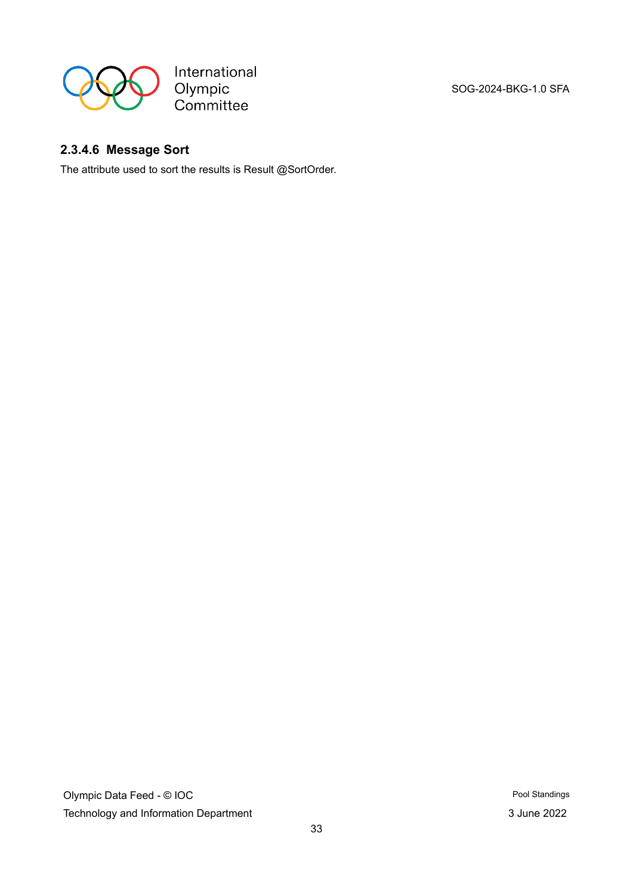

## <span id="page-32-0"></span>**2.3.4.6 Message Sort**

The attribute used to sort the results is Result @SortOrder.

SOG-2024-BKG-1.0 SFA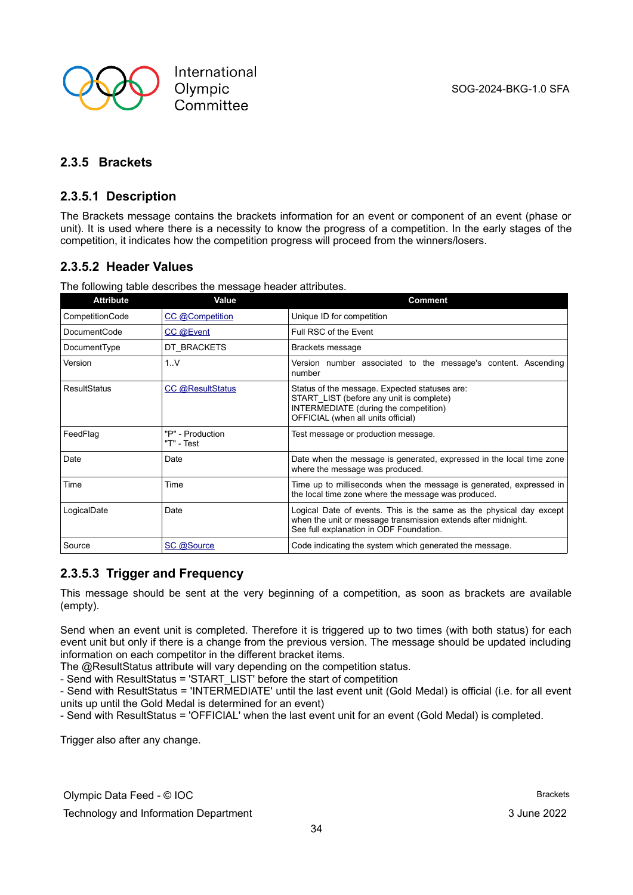

#### <span id="page-33-3"></span>**2.3.5 Brackets**

#### <span id="page-33-2"></span>**2.3.5.1 Description**

The Brackets message contains the brackets information for an event or component of an event (phase or unit). It is used where there is a necessity to know the progress of a competition. In the early stages of the competition, it indicates how the competition progress will proceed from the winners/losers.

#### <span id="page-33-1"></span>**2.3.5.2 Header Values**

| <b>Attribute</b>    | Value                          | <b>Comment</b>                                                                                                                                                                  |  |  |
|---------------------|--------------------------------|---------------------------------------------------------------------------------------------------------------------------------------------------------------------------------|--|--|
| CompetitionCode     | CC @Competition                | Unique ID for competition                                                                                                                                                       |  |  |
| DocumentCode        | CC @Event                      | Full RSC of the Event                                                                                                                                                           |  |  |
| DocumentType        | DT BRACKETS                    | Brackets message                                                                                                                                                                |  |  |
| Version             | 1.1V                           | Version number associated to the message's content. Ascending<br>number                                                                                                         |  |  |
| <b>ResultStatus</b> | CC @ResultStatus               | Status of the message. Expected statuses are:<br>START LIST (before any unit is complete)<br>INTERMEDIATE (during the competition)<br>OFFICIAL (when all units official)        |  |  |
| FeedFlag            | "P" - Production<br>"T" - Test | Test message or production message.                                                                                                                                             |  |  |
| Date                | Date                           | Date when the message is generated, expressed in the local time zone<br>where the message was produced.                                                                         |  |  |
| Time                | Time                           | Time up to milliseconds when the message is generated, expressed in<br>the local time zone where the message was produced.                                                      |  |  |
| LogicalDate         | Date                           | Logical Date of events. This is the same as the physical day except<br>when the unit or message transmission extends after midnight.<br>See full explanation in ODF Foundation. |  |  |
| Source              | SC @Source                     | Code indicating the system which generated the message.                                                                                                                         |  |  |

The following table describes the message header attributes.

#### <span id="page-33-0"></span>**2.3.5.3 Trigger and Frequency**

This message should be sent at the very beginning of a competition, as soon as brackets are available (empty).

Send when an event unit is completed. Therefore it is triggered up to two times (with both status) for each event unit but only if there is a change from the previous version. The message should be updated including information on each competitor in the different bracket items.

The @ResultStatus attribute will vary depending on the competition status.

- Send with ResultStatus = 'START\_LIST' before the start of competition

- Send with ResultStatus = 'INTERMEDIATE' until the last event unit (Gold Medal) is official (i.e. for all event units up until the Gold Medal is determined for an event)

- Send with ResultStatus = 'OFFICIAL' when the last event unit for an event (Gold Medal) is completed.

Trigger also after any change.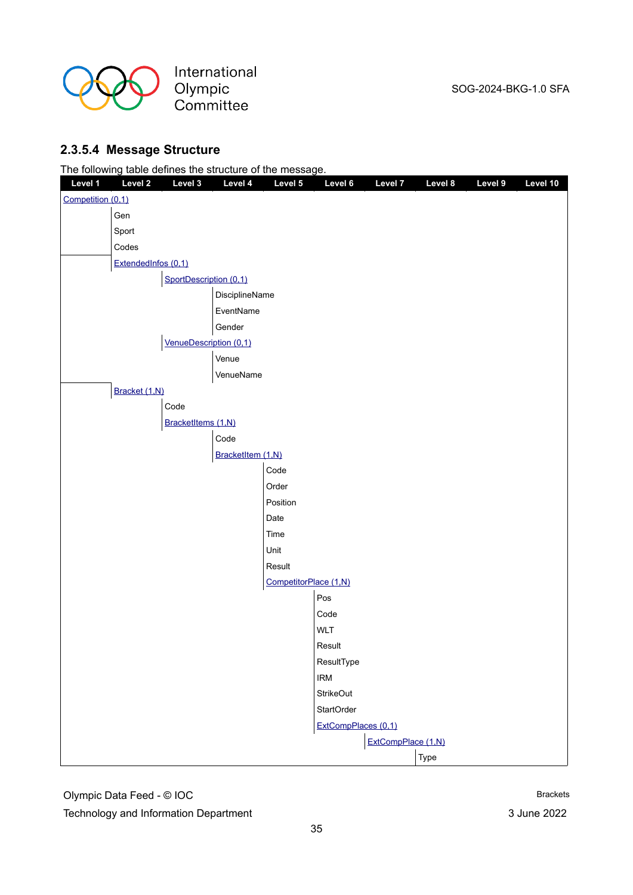

## <span id="page-34-0"></span>**2.3.5.4 Message Structure**

The following table defines the structure of the message.

| Level 1           | Level 2             | Level 3                | Level 4           | Level 5               | Level 6             | Level 7            | Level 8 | Level 9 | Level 10 |
|-------------------|---------------------|------------------------|-------------------|-----------------------|---------------------|--------------------|---------|---------|----------|
| Competition (0,1) |                     |                        |                   |                       |                     |                    |         |         |          |
|                   | Gen                 |                        |                   |                       |                     |                    |         |         |          |
|                   | Sport               |                        |                   |                       |                     |                    |         |         |          |
|                   | Codes               |                        |                   |                       |                     |                    |         |         |          |
|                   | ExtendedInfos (0,1) |                        |                   |                       |                     |                    |         |         |          |
|                   |                     | SportDescription (0,1) |                   |                       |                     |                    |         |         |          |
|                   |                     |                        | DisciplineName    |                       |                     |                    |         |         |          |
|                   |                     |                        | EventName         |                       |                     |                    |         |         |          |
|                   |                     |                        | Gender            |                       |                     |                    |         |         |          |
|                   |                     | VenueDescription (0,1) |                   |                       |                     |                    |         |         |          |
|                   |                     |                        | Venue             |                       |                     |                    |         |         |          |
|                   |                     |                        | VenueName         |                       |                     |                    |         |         |          |
|                   | Bracket (1,N)       |                        |                   |                       |                     |                    |         |         |          |
|                   |                     | Code                   |                   |                       |                     |                    |         |         |          |
|                   |                     | BracketItems (1,N)     |                   |                       |                     |                    |         |         |          |
|                   |                     |                        | Code              |                       |                     |                    |         |         |          |
|                   |                     |                        | BracketItem (1,N) | Code                  |                     |                    |         |         |          |
|                   |                     |                        |                   | Order                 |                     |                    |         |         |          |
|                   |                     |                        |                   | Position              |                     |                    |         |         |          |
|                   |                     |                        |                   | Date                  |                     |                    |         |         |          |
|                   |                     |                        |                   | Time                  |                     |                    |         |         |          |
|                   |                     |                        |                   | Unit                  |                     |                    |         |         |          |
|                   |                     |                        |                   | Result                |                     |                    |         |         |          |
|                   |                     |                        |                   | CompetitorPlace (1,N) |                     |                    |         |         |          |
|                   |                     |                        |                   |                       | Pos                 |                    |         |         |          |
|                   |                     |                        |                   |                       | Code                |                    |         |         |          |
|                   |                     |                        |                   |                       | <b>WLT</b>          |                    |         |         |          |
|                   |                     |                        |                   |                       | Result              |                    |         |         |          |
|                   |                     |                        |                   |                       | ResultType          |                    |         |         |          |
|                   |                     |                        |                   |                       | <b>IRM</b>          |                    |         |         |          |
|                   |                     |                        |                   |                       | <b>StrikeOut</b>    |                    |         |         |          |
|                   |                     |                        |                   |                       | StartOrder          |                    |         |         |          |
|                   |                     |                        |                   |                       | ExtCompPlaces (0,1) |                    |         |         |          |
|                   |                     |                        |                   |                       |                     | ExtCompPlace (1,N) |         |         |          |
|                   |                     |                        |                   |                       |                     |                    | Type    |         |          |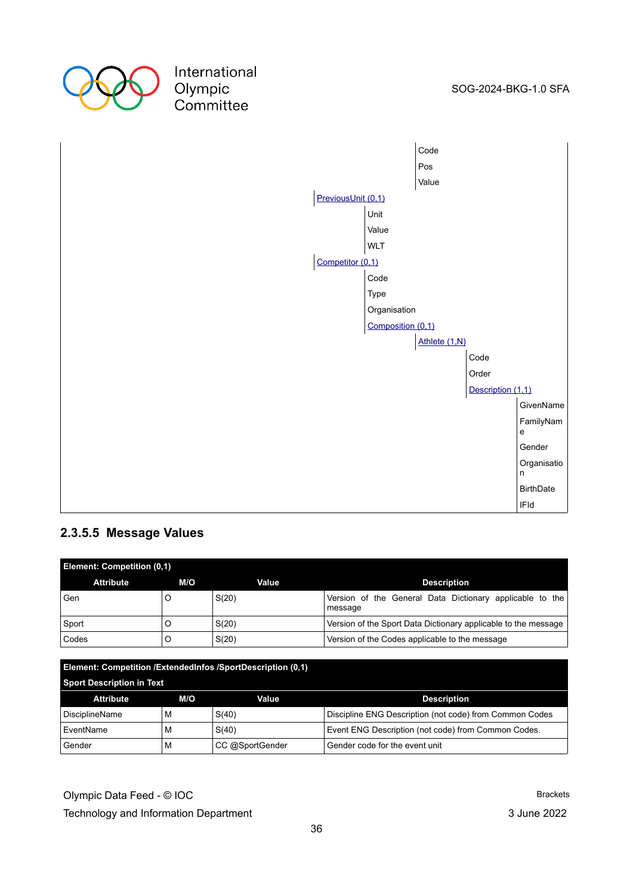



## <span id="page-35-0"></span>**2.3.5.5 Message Values**

<span id="page-35-3"></span>

| <b>Element: Competition (0.1)</b> |     |       |                                                                     |  |  |  |
|-----------------------------------|-----|-------|---------------------------------------------------------------------|--|--|--|
| <b>Attribute</b>                  | M/O | Value | <b>Description</b>                                                  |  |  |  |
| Gen                               |     | S(20) | Version of the General Data Dictionary applicable to the<br>message |  |  |  |
| Sport                             |     | S(20) | Version of the Sport Data Dictionary applicable to the message      |  |  |  |
| Codes                             |     | S(20) | Version of the Codes applicable to the message                      |  |  |  |

<span id="page-35-2"></span><span id="page-35-1"></span>**Element: Competition /ExtendedInfos /SportDescription (0,1) Sport Description in Text Attribute M/O Value Description** DisciplineName M  $\vert$  M  $\vert$  S(40) Discipline ENG Description (not code) from Common Codes EventName M  $\vert$  S(40) S(40) Event ENG Description (not code) from Common Codes. Gender M CC @SportGender Gender code for the event unit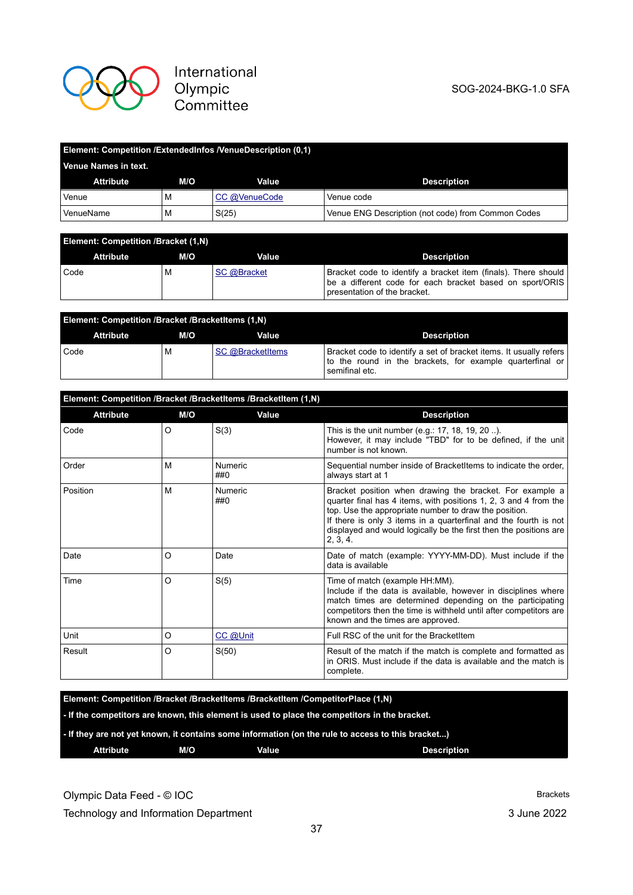

| <b>Element: Competition /ExtendedInfos /VenueDescription (0,1)</b> |     |               |                                                    |  |  |
|--------------------------------------------------------------------|-----|---------------|----------------------------------------------------|--|--|
| l Venue Names in text.                                             |     |               |                                                    |  |  |
| <b>Attribute</b>                                                   | M/O | Value         | <b>Description</b>                                 |  |  |
| Venue                                                              | м   | CC @VenueCode | Venue code                                         |  |  |
| VenueName                                                          | м   | S(25)         | Venue ENG Description (not code) from Common Codes |  |  |

<span id="page-36-3"></span>

| <b>Element: Competition /Bracket (1,N)</b> |     |             |                                                                                                                                                            |  |  |  |
|--------------------------------------------|-----|-------------|------------------------------------------------------------------------------------------------------------------------------------------------------------|--|--|--|
| <b>Attribute</b>                           | M/O | Value       | Description                                                                                                                                                |  |  |  |
| Code                                       | M   | SC @Bracket | Bracket code to identify a bracket item (finals). There should<br>be a different code for each bracket based on sport/ORIS<br>presentation of the bracket. |  |  |  |

<span id="page-36-2"></span>

| <b>Element: Competition /Bracket /BracketItems (1,N)</b> |     |                  |                                                                                                                                                   |
|----------------------------------------------------------|-----|------------------|---------------------------------------------------------------------------------------------------------------------------------------------------|
| <b>Attribute</b>                                         | M/O | Value            | <b>Description</b>                                                                                                                                |
| ' Code                                                   | M   | SC @BracketItems | Bracket code to identify a set of bracket items. It usually refers<br>to the round in the brackets, for example quarterfinal or<br>semifinal etc. |

<span id="page-36-1"></span>

| Element: Competition /Bracket /BracketItems /BracketItem (1,N) |     |                       |                                                                                                                                                                                                                                                                                                                                            |  |
|----------------------------------------------------------------|-----|-----------------------|--------------------------------------------------------------------------------------------------------------------------------------------------------------------------------------------------------------------------------------------------------------------------------------------------------------------------------------------|--|
| <b>Attribute</b>                                               | M/O | Value                 | <b>Description</b>                                                                                                                                                                                                                                                                                                                         |  |
| Code                                                           | O   | S(3)                  | This is the unit number (e.g.: 17, 18, 19, 20).<br>However, it may include "TBD" for to be defined, if the unit<br>number is not known.                                                                                                                                                                                                    |  |
| Order                                                          | м   | <b>Numeric</b><br>##0 | Sequential number inside of BracketItems to indicate the order,<br>always start at 1                                                                                                                                                                                                                                                       |  |
| Position                                                       | м   | <b>Numeric</b><br>##0 | Bracket position when drawing the bracket. For example a<br>quarter final has 4 items, with positions 1, 2, 3 and 4 from the<br>top. Use the appropriate number to draw the position.<br>If there is only 3 items in a quarterfinal and the fourth is not<br>displayed and would logically be the first then the positions are<br>2, 3, 4. |  |
| Date                                                           | O   | Date                  | Date of match (example: YYYY-MM-DD). Must include if the<br>data is available                                                                                                                                                                                                                                                              |  |
| Time                                                           | O   | S(5)                  | Time of match (example HH:MM).<br>Include if the data is available, however in disciplines where<br>match times are determined depending on the participating<br>competitors then the time is withheld until after competitors are<br>known and the times are approved.                                                                    |  |
| Unit                                                           | O   | CC @Unit              | Full RSC of the unit for the BracketItem                                                                                                                                                                                                                                                                                                   |  |
| Result                                                         | O   | S(50)                 | Result of the match if the match is complete and formatted as<br>in ORIS. Must include if the data is available and the match is<br>complete.                                                                                                                                                                                              |  |

<span id="page-36-0"></span>**Element: Competition /Bracket /BracketItems /BracketItem /CompetitorPlace (1,N) - If the competitors are known, this element is used to place the competitors in the bracket. - If they are not yet known, it contains some information (on the rule to access to this bracket...) Attribute M/O Value Description**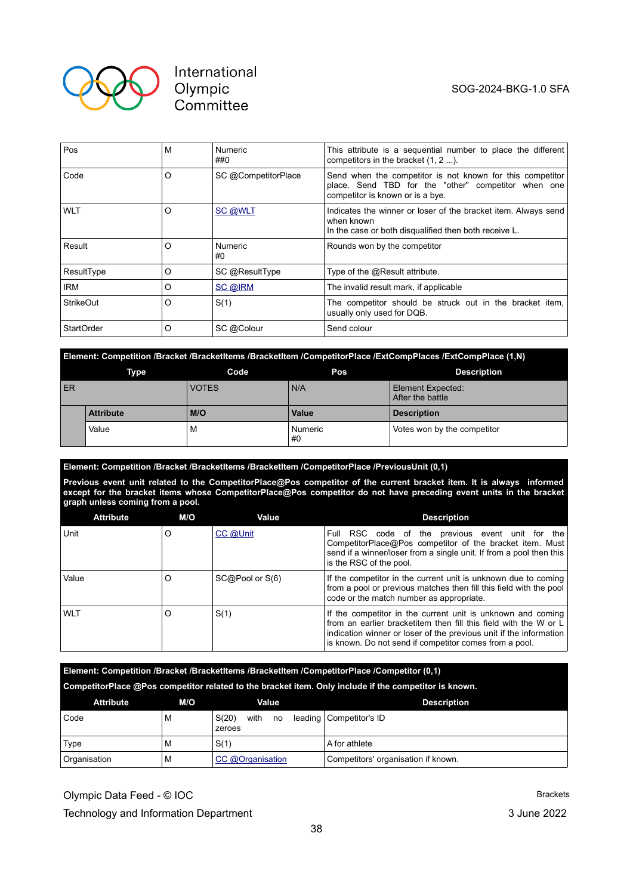

| Pos               | M | Numeric<br>##0       | This attribute is a sequential number to place the different<br>competitors in the bracket $(1, 2)$ .                                                |
|-------------------|---|----------------------|------------------------------------------------------------------------------------------------------------------------------------------------------|
| Code              | O | SC @CompetitorPlace  | Send when the competitor is not known for this competitor<br>place. Send TBD for the "other" competitor when one<br>competitor is known or is a bye. |
| <b>WLT</b>        | O | SC @WLT              | Indicates the winner or loser of the bracket item. Always send<br>when known<br>In the case or both disqualified then both receive L.                |
| Result            | O | <b>Numeric</b><br>#0 | Rounds won by the competitor                                                                                                                         |
| ResultType        | O | SC @ResultType       | Type of the @Result attribute.                                                                                                                       |
| <b>IRM</b>        | O | SC @IRM              | The invalid result mark, if applicable                                                                                                               |
| <b>StrikeOut</b>  | O | S(1)                 | The competitor should be struck out in the bracket item.<br>usually only used for DQB.                                                               |
| <b>StartOrder</b> | O | SC @Colour           | Send colour                                                                                                                                          |

<span id="page-37-0"></span>

|           | Element: Competition /Bracket /BracketItems /BracketItem /CompetitorPlace /ExtCompPlaces /ExtCompPlace (1,N) |              |                      |                                              |  |  |
|-----------|--------------------------------------------------------------------------------------------------------------|--------------|----------------------|----------------------------------------------|--|--|
|           | Type                                                                                                         | Code         | Pos                  | <b>Description</b>                           |  |  |
| <b>ER</b> |                                                                                                              | <b>VOTES</b> | N/A                  | <b>Element Expected:</b><br>After the battle |  |  |
|           | <b>Attribute</b>                                                                                             | M/O          | Value                | <b>Description</b>                           |  |  |
|           | Value                                                                                                        | м            | <b>Numeric</b><br>#0 | Votes won by the competitor                  |  |  |

#### <span id="page-37-2"></span>**Element: Competition /Bracket /BracketItems /BracketItem /CompetitorPlace /PreviousUnit (0,1)**

**Previous event unit related to the CompetitorPlace@Pos competitor of the current bracket item. It is always informed except for the bracket items whose CompetitorPlace@Pos competitor do not have preceding event units in the bracket graph unless coming from a pool.**

| <b>Attribute</b> | M/O | Value           | <b>Description</b>                                                                                                                                                                                                                                              |
|------------------|-----|-----------------|-----------------------------------------------------------------------------------------------------------------------------------------------------------------------------------------------------------------------------------------------------------------|
| Unit             | O   | CC @Unit        | Full RSC code of the previous event unit for the<br>CompetitorPlace@Pos competitor of the bracket item. Must<br>send if a winner/loser from a single unit. If from a pool then this<br>is the RSC of the pool.                                                  |
| Value            | O   | SC@Pool or S(6) | If the competitor in the current unit is unknown due to coming<br>from a pool or previous matches then fill this field with the pool<br>code or the match number as appropriate.                                                                                |
| <b>WLT</b>       | O   | S(1)            | If the competitor in the current unit is unknown and coming<br>from an earlier bracketitem then fill this field with the W or L<br>indication winner or loser of the previous unit if the information<br>is known. Do not send if competitor comes from a pool. |

<span id="page-37-1"></span>

| Element: Competition /Bracket /BracketItems /BracketItem /CompetitorPlace /Competitor (0,1)           |     |                               |                                     |
|-------------------------------------------------------------------------------------------------------|-----|-------------------------------|-------------------------------------|
| CompetitorPlace @Pos competitor related to the bracket item. Only include if the competitor is known. |     |                               |                                     |
| <b>Attribute</b>                                                                                      | M/O | Value                         | <b>Description</b>                  |
| Code                                                                                                  | М   | S(20)<br>with<br>no<br>zeroes | leading   Competitor's ID           |
| Type                                                                                                  | м   | S(1)                          | A for athlete                       |
| Organisation                                                                                          | М   | CC @Organisation              | Competitors' organisation if known. |

Olympic Data Feed - © IOC Brackets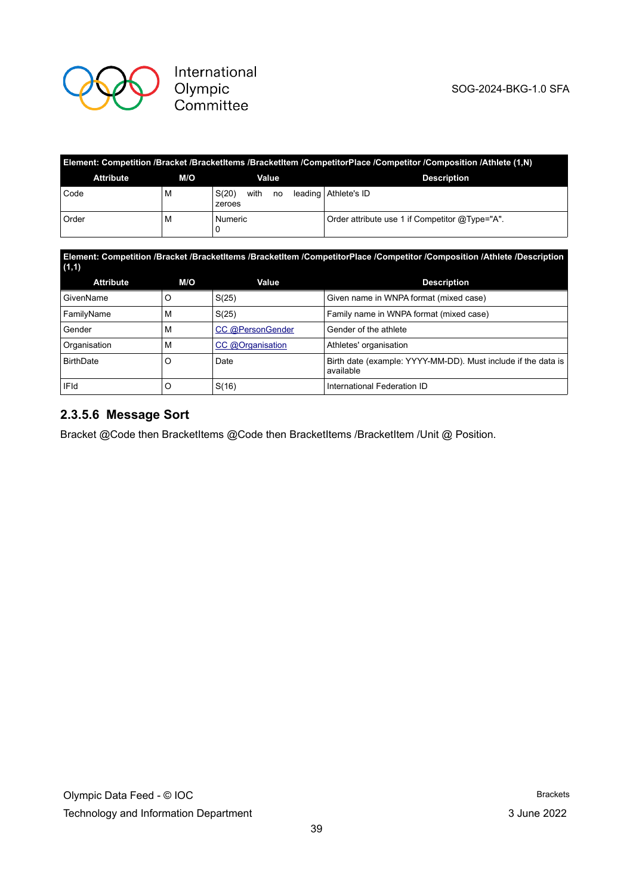

<span id="page-38-2"></span>

| Element: Competition /Bracket /BracketItems /BracketItem /CompetitorPlace /Competitor /Composition /Athlete (1,N) |     |                               |                                                |  |
|-------------------------------------------------------------------------------------------------------------------|-----|-------------------------------|------------------------------------------------|--|
| <b>Attribute</b>                                                                                                  | M/O | Value                         | <b>Description</b>                             |  |
| Code                                                                                                              | м   | S(20)<br>with<br>no<br>zeroes | leading   Athlete's ID                         |  |
| Order                                                                                                             | м   | Numeric                       | Order attribute use 1 if Competitor @Type="A". |  |

<span id="page-38-1"></span>**Element: Competition /Bracket /BracketItems /BracketItem /CompetitorPlace /Competitor /Composition /Athlete /Description (1,1)**

| <b>Attribute</b> | M/O | Value            | <b>Description</b>                                                         |
|------------------|-----|------------------|----------------------------------------------------------------------------|
| GivenName        | O   | S(25)            | Given name in WNPA format (mixed case)                                     |
| FamilyName       | м   | S(25)            | Family name in WNPA format (mixed case)                                    |
| Gender           | м   | CC @PersonGender | Gender of the athlete                                                      |
| Organisation     | м   | CC @Organisation | Athletes' organisation                                                     |
| <b>BirthDate</b> | O   | Date             | Birth date (example: YYYY-MM-DD). Must include if the data is<br>available |
| IFId             | O   | S(16)            | International Federation ID                                                |

## <span id="page-38-0"></span>**2.3.5.6 Message Sort**

Bracket @Code then BracketItems @Code then BracketItems /BracketItem /Unit @ Position.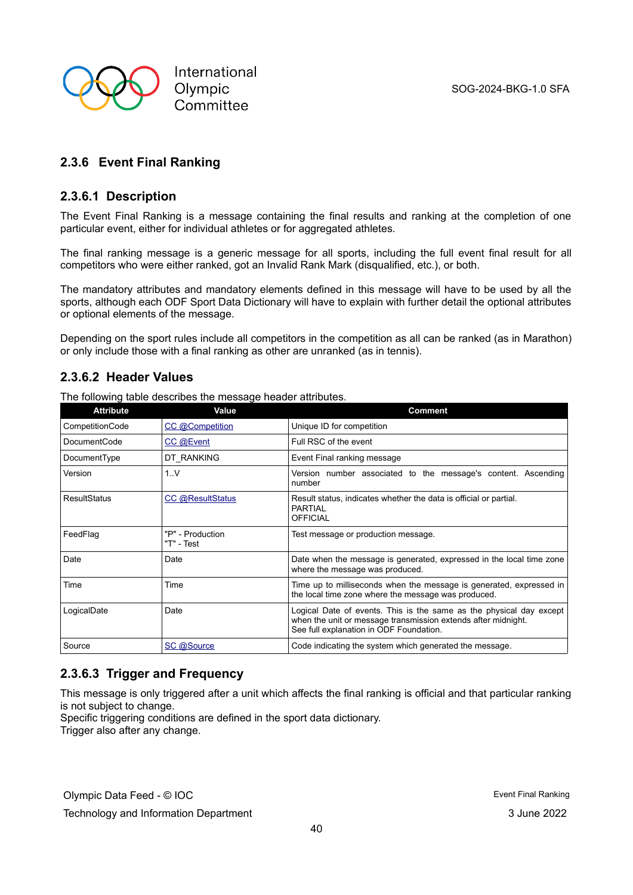

## <span id="page-39-0"></span>**2.3.6 Event Final Ranking**

#### <span id="page-39-3"></span>**2.3.6.1 Description**

The Event Final Ranking is a message containing the final results and ranking at the completion of one particular event, either for individual athletes or for aggregated athletes.

The final ranking message is a generic message for all sports, including the full event final result for all competitors who were either ranked, got an Invalid Rank Mark (disqualified, etc.), or both.

The mandatory attributes and mandatory elements defined in this message will have to be used by all the sports, although each ODF Sport Data Dictionary will have to explain with further detail the optional attributes or optional elements of the message.

Depending on the sport rules include all competitors in the competition as all can be ranked (as in Marathon) or only include those with a final ranking as other are unranked (as in tennis).

## <span id="page-39-2"></span>**2.3.6.2 Header Values**

The following table describes the message header attributes.

| <b>Attribute</b>    | Value                          | <b>Comment</b>                                                                                                                                                                  |
|---------------------|--------------------------------|---------------------------------------------------------------------------------------------------------------------------------------------------------------------------------|
| CompetitionCode     | CC @Competition                | Unique ID for competition                                                                                                                                                       |
| <b>DocumentCode</b> | CC @Event                      | Full RSC of the event                                                                                                                                                           |
| DocumentType        | DT RANKING                     | Event Final ranking message                                                                                                                                                     |
| Version             | 1.1V                           | Version number associated to the message's content. Ascending<br>number                                                                                                         |
| <b>ResultStatus</b> | CC @ResultStatus               | Result status, indicates whether the data is official or partial.<br><b>PARTIAL</b><br><b>OFFICIAL</b>                                                                          |
| FeedFlag            | "P" - Production<br>"T" - Test | Test message or production message.                                                                                                                                             |
| Date                | Date                           | Date when the message is generated, expressed in the local time zone<br>where the message was produced.                                                                         |
| Time                | Time                           | Time up to milliseconds when the message is generated, expressed in<br>the local time zone where the message was produced.                                                      |
| LogicalDate         | Date                           | Logical Date of events. This is the same as the physical day except<br>when the unit or message transmission extends after midnight.<br>See full explanation in ODF Foundation. |
| Source              | SC @Source                     | Code indicating the system which generated the message.                                                                                                                         |

## <span id="page-39-1"></span>**2.3.6.3 Trigger and Frequency**

This message is only triggered after a unit which affects the final ranking is official and that particular ranking is not subject to change.

Specific triggering conditions are defined in the sport data dictionary. Trigger also after any change.

Olympic Data Feed - © IOC **Example 2018** Event Final Ranking Technology and Information Department 3 June 2022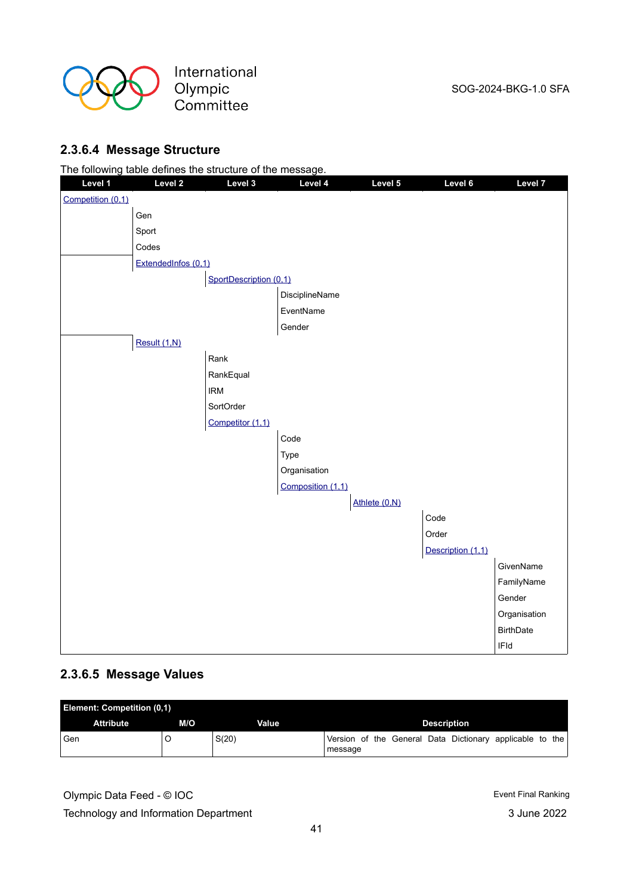

## <span id="page-40-1"></span>**2.3.6.4 Message Structure**

The following table defines the structure of the message.



#### <span id="page-40-0"></span>**2.3.6.5 Message Values**

<span id="page-40-2"></span>

| <b>Element: Competition (0.1)</b> |     |       |                                                                     |
|-----------------------------------|-----|-------|---------------------------------------------------------------------|
| <b>Attribute</b>                  | M/O | Value | <b>Description</b>                                                  |
| Gen                               |     | S(20) | Version of the General Data Dictionary applicable to the<br>message |

Olympic Data Feed - © IOC **Example 2018** Event Final Ranking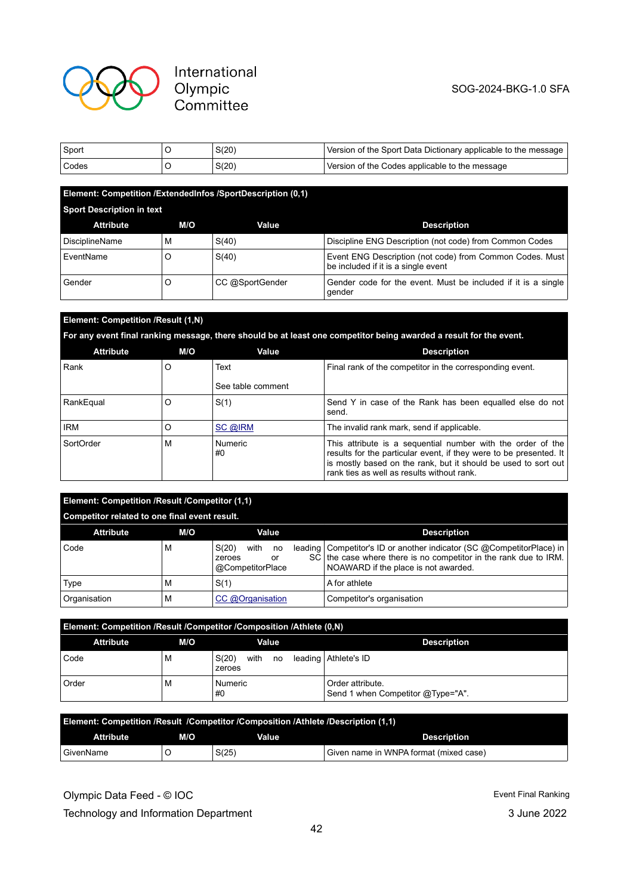

| ⊦Sport | S(20) | Version of the Sport Data Dictionary applicable to the message |
|--------|-------|----------------------------------------------------------------|
| Codes  | S(20) | Version of the Codes applicable to the message                 |

<span id="page-41-4"></span>**Element: Competition /ExtendedInfos /SportDescription (0,1)**

| <b>Sport Description in text</b> |     |                 |                                                                                                 |  |
|----------------------------------|-----|-----------------|-------------------------------------------------------------------------------------------------|--|
| <b>Attribute</b>                 | M/O | Value           | <b>Description</b>                                                                              |  |
| <b>DisciplineName</b>            | M   | S(40)           | Discipline ENG Description (not code) from Common Codes                                         |  |
| EventName                        |     | S(40)           | Event ENG Description (not code) from Common Codes. Must<br>be included if it is a single event |  |
| Gender                           |     | CC @SportGender | Gender code for the event. Must be included if it is a single<br>gender                         |  |

<span id="page-41-3"></span>

|                                                        | <b>Element: Competition /Result (1,N)</b> |                           |                                                                                                                                                                                                                                                   |  |
|--------------------------------------------------------|-------------------------------------------|---------------------------|---------------------------------------------------------------------------------------------------------------------------------------------------------------------------------------------------------------------------------------------------|--|
|                                                        |                                           |                           | For any event final ranking message, there should be at least one competitor being awarded a result for the event.                                                                                                                                |  |
| Value<br><b>Attribute</b><br>M/O<br><b>Description</b> |                                           |                           |                                                                                                                                                                                                                                                   |  |
| Rank                                                   | $\circ$                                   | Text<br>See table comment | Final rank of the competitor in the corresponding event.                                                                                                                                                                                          |  |
| RankEqual                                              | O                                         | S(1)                      | Send Y in case of the Rank has been equalled else do not<br>send.                                                                                                                                                                                 |  |
| <b>IRM</b>                                             | ∩                                         | SC @IRM                   | The invalid rank mark, send if applicable.                                                                                                                                                                                                        |  |
| SortOrder                                              | м                                         | <b>Numeric</b><br>#0      | This attribute is a sequential number with the order of the<br>results for the particular event, if they were to be presented. It<br>is mostly based on the rank, but it should be used to sort out<br>rank ties as well as results without rank. |  |

<span id="page-41-2"></span>

| <b>Element: Competition /Result /Competitor (1,1)</b> |     |                                                         |                                                                                                                                                                                       |  |
|-------------------------------------------------------|-----|---------------------------------------------------------|---------------------------------------------------------------------------------------------------------------------------------------------------------------------------------------|--|
| Competitor related to one final event result.         |     |                                                         |                                                                                                                                                                                       |  |
| <b>Attribute</b>                                      | M/O | Value                                                   | <b>Description</b>                                                                                                                                                                    |  |
| Code                                                  | м   | S(20)<br>with<br>no<br>zeroes<br>or<br>@CompetitorPlace | leading   Competitor's ID or another indicator (SC @CompetitorPlace) in  <br>SC the case where there is no competitor in the rank due to IRM.<br>NOAWARD if the place is not awarded. |  |
| Type                                                  | м   | S(1)                                                    | A for athlete                                                                                                                                                                         |  |
| Organisation                                          | м   | CC @Organisation                                        | Competitor's organisation                                                                                                                                                             |  |

<span id="page-41-1"></span>

| <b>Element: Competition /Result /Competitor /Composition /Athlete (0.N)</b> |   |                               |                                                       |  |
|-----------------------------------------------------------------------------|---|-------------------------------|-------------------------------------------------------|--|
| M/O<br><b>Attribute</b><br>Value<br><b>Description</b>                      |   |                               |                                                       |  |
| Code                                                                        | M | S(20)<br>with<br>no<br>zeroes | leading   Athlete's ID                                |  |
| Order                                                                       | M | Numeric<br>#0                 | Order attribute.<br>Send 1 when Competitor @Type="A". |  |

<span id="page-41-0"></span>

| <b>Element: Competition /Result /Competitor /Composition /Athlete /Description (1,1)</b> |  |       |                                        |
|------------------------------------------------------------------------------------------|--|-------|----------------------------------------|
| M/O<br><b>Attribute</b><br>Value<br><b>Description</b>                                   |  |       |                                        |
| GivenName                                                                                |  | S(25) | Given name in WNPA format (mixed case) |

Olympic Data Feed - © IOC **Example 2018** Event Final Ranking Technology and Information Department 3 June 2022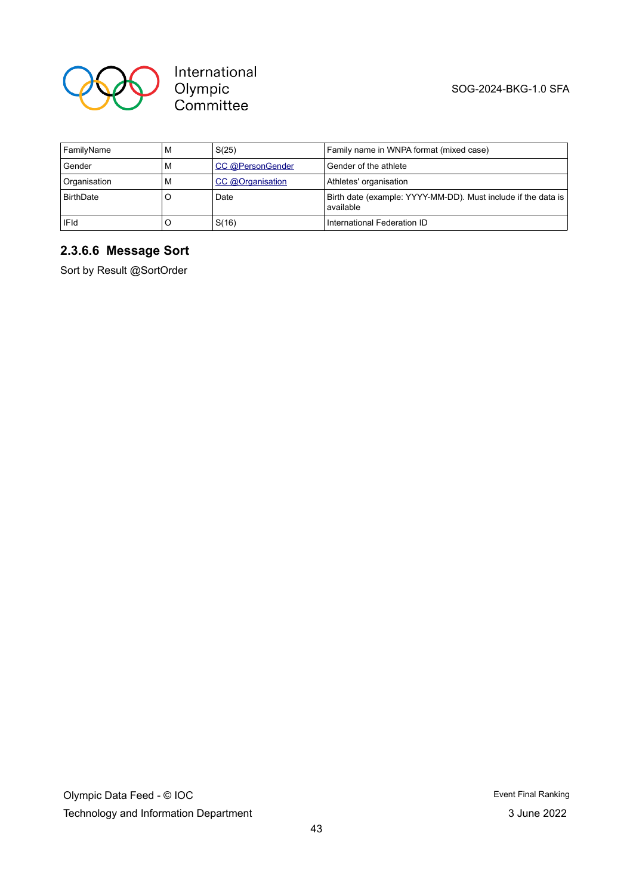

| FamilyName       | М | S(25)            | Family name in WNPA format (mixed case)                                    |
|------------------|---|------------------|----------------------------------------------------------------------------|
| Gender           | М | CC @PersonGender | Gender of the athlete                                                      |
| Organisation     | М | CC @Organisation | Athletes' organisation                                                     |
| <b>BirthDate</b> | O | Date             | Birth date (example: YYYY-MM-DD). Must include if the data is<br>available |
| <b>IFId</b>      | O | S(16)            | International Federation ID                                                |

## <span id="page-42-0"></span>**2.3.6.6 Message Sort**

Sort by Result @SortOrder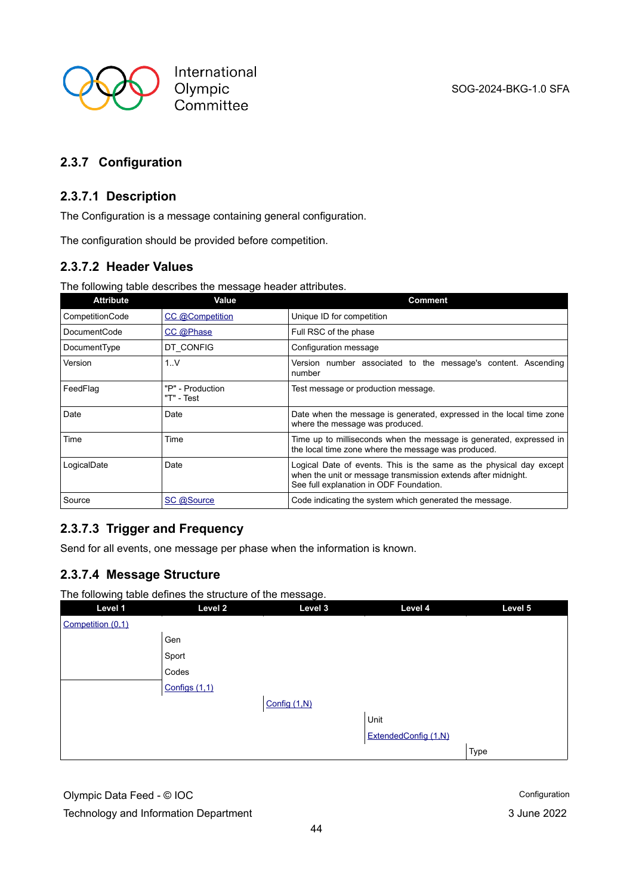

## <span id="page-43-4"></span>**2.3.7 Configuration**

## <span id="page-43-3"></span>**2.3.7.1 Description**

The Configuration is a message containing general configuration.

The configuration should be provided before competition.

### <span id="page-43-2"></span>**2.3.7.2 Header Values**

The following table describes the message header attributes.

| <b>Attribute</b>    | Value                          | <b>Comment</b>                                                                                                                                                                  |
|---------------------|--------------------------------|---------------------------------------------------------------------------------------------------------------------------------------------------------------------------------|
| CompetitionCode     | CC @Competition                | Unique ID for competition                                                                                                                                                       |
| <b>DocumentCode</b> | CC @Phase                      | Full RSC of the phase                                                                                                                                                           |
| DocumentType        | DT CONFIG                      | Configuration message                                                                                                                                                           |
| Version             | 1.1V                           | Version number associated to the message's content. Ascending<br>number                                                                                                         |
| FeedFlag            | "P" - Production<br>"T" - Test | Test message or production message.                                                                                                                                             |
| Date                | Date                           | Date when the message is generated, expressed in the local time zone<br>where the message was produced.                                                                         |
| Time                | Time                           | Time up to milliseconds when the message is generated, expressed in<br>the local time zone where the message was produced.                                                      |
| LogicalDate         | Date                           | Logical Date of events. This is the same as the physical day except<br>when the unit or message transmission extends after midnight.<br>See full explanation in ODF Foundation. |
| Source              | SC @Source                     | Code indicating the system which generated the message.                                                                                                                         |

## <span id="page-43-1"></span>**2.3.7.3 Trigger and Frequency**

Send for all events, one message per phase when the information is known.

#### <span id="page-43-0"></span>**2.3.7.4 Message Structure**

The following table defines the structure of the message.

| Level 1           | Level 2         | __<br>Level 3  | Level 4              | Level 5 |
|-------------------|-----------------|----------------|----------------------|---------|
| Competition (0,1) |                 |                |                      |         |
|                   | Gen             |                |                      |         |
|                   | Sport           |                |                      |         |
|                   | Codes           |                |                      |         |
|                   | Configs $(1,1)$ |                |                      |         |
|                   |                 | Config $(1,N)$ |                      |         |
|                   |                 |                | Unit                 |         |
|                   |                 |                | ExtendedConfig (1,N) |         |
|                   |                 |                |                      | Type    |
|                   |                 |                |                      |         |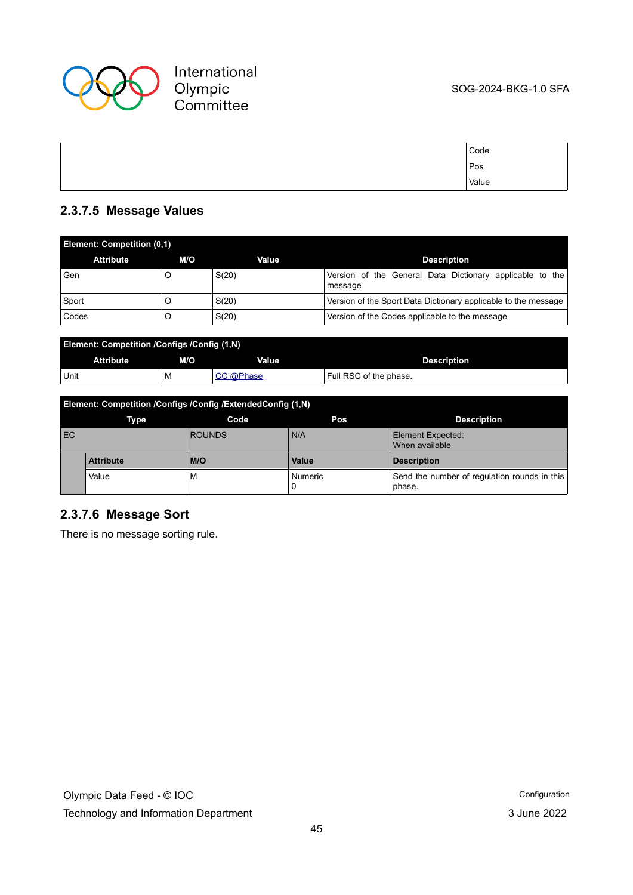

Code Pos Value

## <span id="page-44-1"></span>**2.3.7.5 Message Values**

<span id="page-44-4"></span>

| <b>Element: Competition (0,1)</b> |     |       |                                                                     |
|-----------------------------------|-----|-------|---------------------------------------------------------------------|
| <b>Attribute</b>                  | M/O | Value | <b>Description</b>                                                  |
| Gen                               | O   | S(20) | Version of the General Data Dictionary applicable to the<br>message |
| Sport                             |     | S(20) | Version of the Sport Data Dictionary applicable to the message      |
| Codes                             |     | S(20) | Version of the Codes applicable to the message                      |

<span id="page-44-3"></span>

| <b>Element: Competition <i>(Configs /Config (1,N)</i></b> |   |           |                        |
|-----------------------------------------------------------|---|-----------|------------------------|
| M/O<br>Value<br><b>Attribute</b>                          |   |           | <b>Description</b>     |
| Unit                                                      | M | CC @Phase | Full RSC of the phase. |

<span id="page-44-2"></span>

|    | Element: Competition /Configs /Config /ExtendedConfig (1,N) |               |              |                                                        |  |
|----|-------------------------------------------------------------|---------------|--------------|--------------------------------------------------------|--|
|    | Type                                                        | Code          | Pos          | <b>Description</b>                                     |  |
| EC |                                                             | <b>ROUNDS</b> | N/A          | <b>Element Expected:</b><br>When available             |  |
|    | <b>Attribute</b>                                            | M/O           | <b>Value</b> | <b>Description</b>                                     |  |
|    | Value                                                       | М             | Numeric<br>O | Send the number of regulation rounds in this<br>phase. |  |

## <span id="page-44-0"></span>**2.3.7.6 Message Sort**

There is no message sorting rule.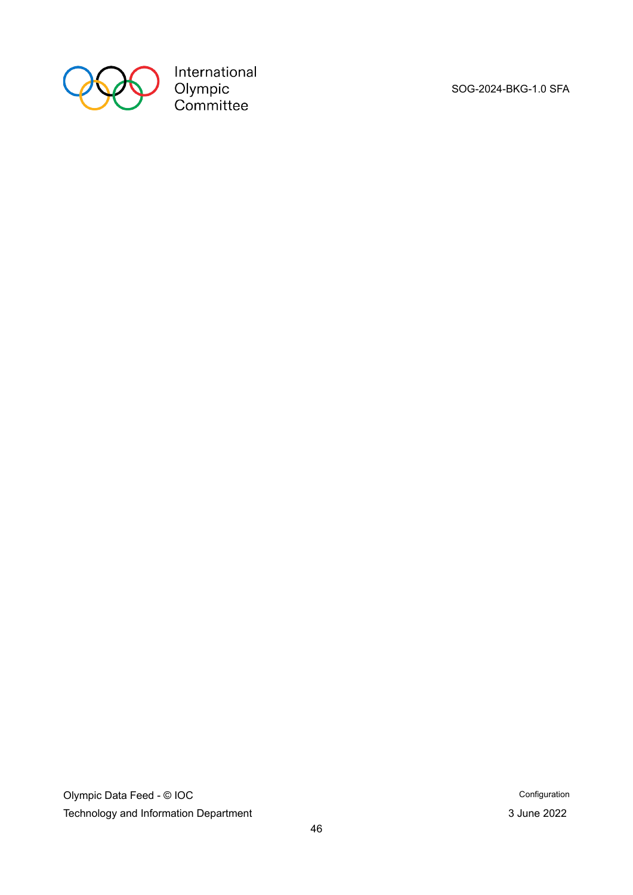

SOG-2024-BKG-1.0 SFA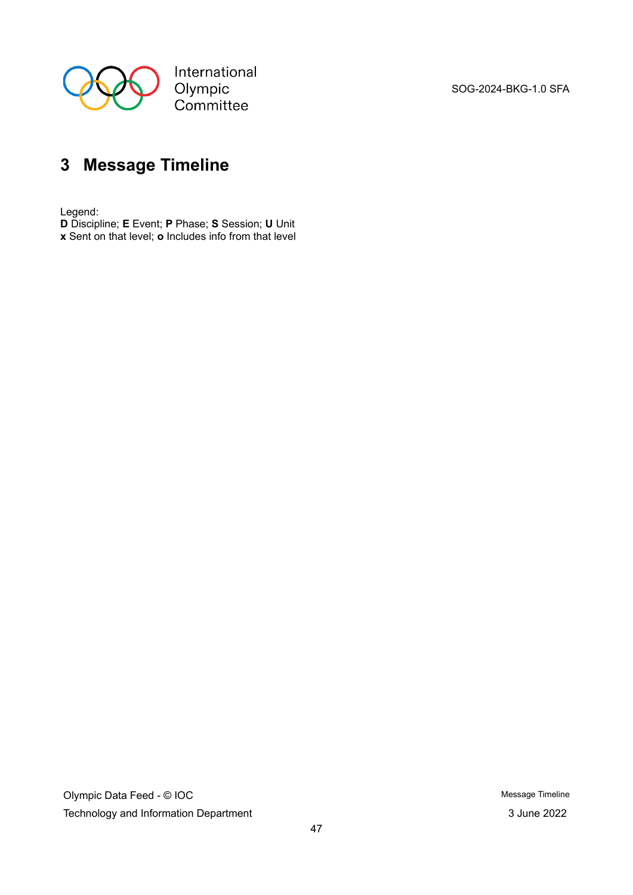

SOG-2024-BKG-1.0 SFA

# <span id="page-46-0"></span>**3 Message Timeline**

Legend:

**D** Discipline; **E** Event; **P** Phase; **S** Session; **U** Unit **x** Sent on that level; **o** Includes info from that level